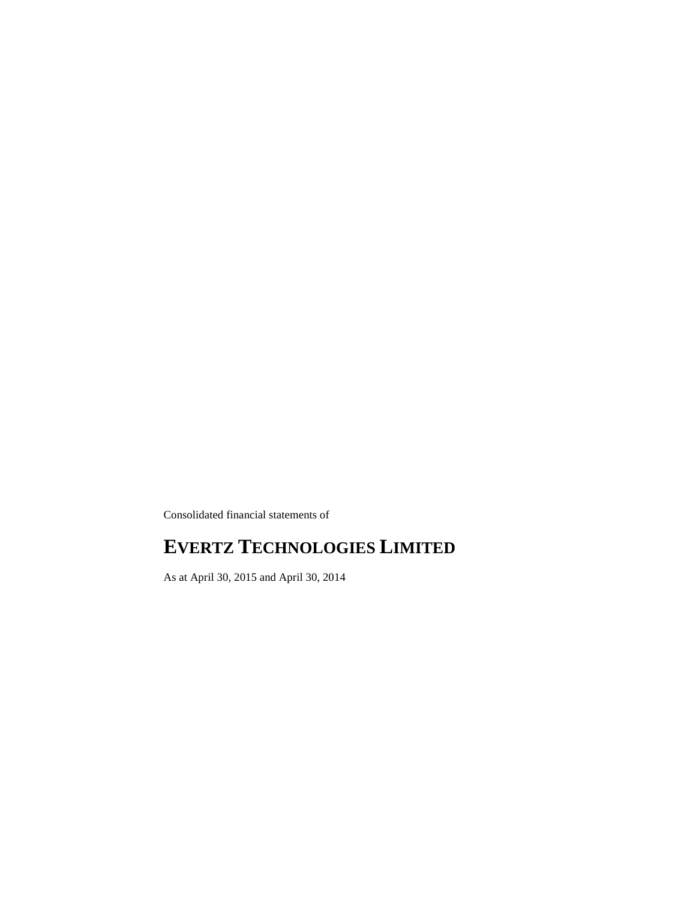Consolidated financial statements of

# **EVERTZ TECHNOLOGIES LIMITED**

As at April 30, 2015 and April 30, 2014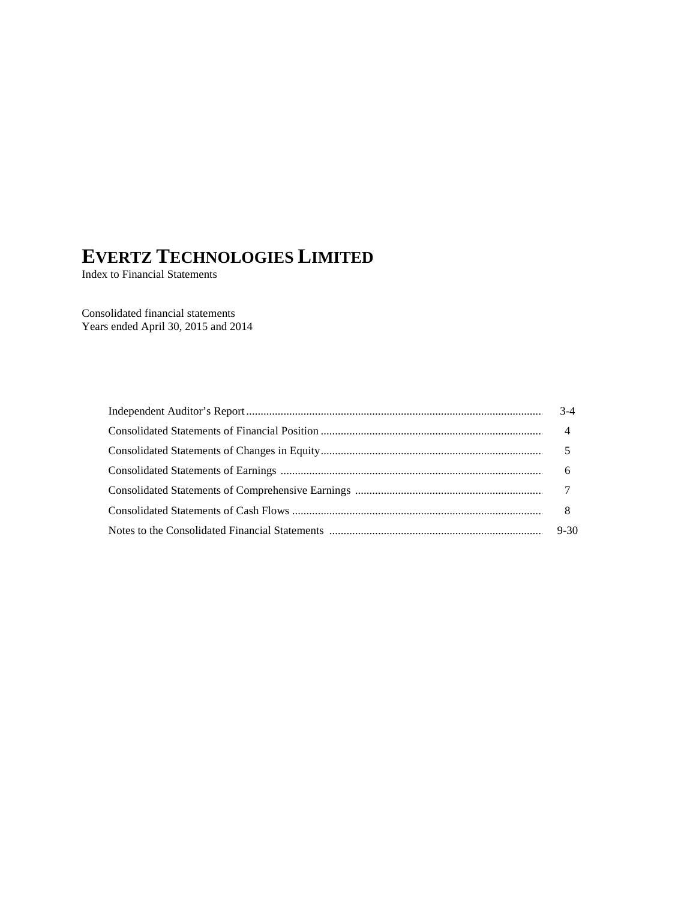Index to Financial Statements

Consolidated financial statements Years ended April 30, 2015 and 2014

| $3-4$ |
|-------|
|       |
|       |
|       |
|       |
|       |
|       |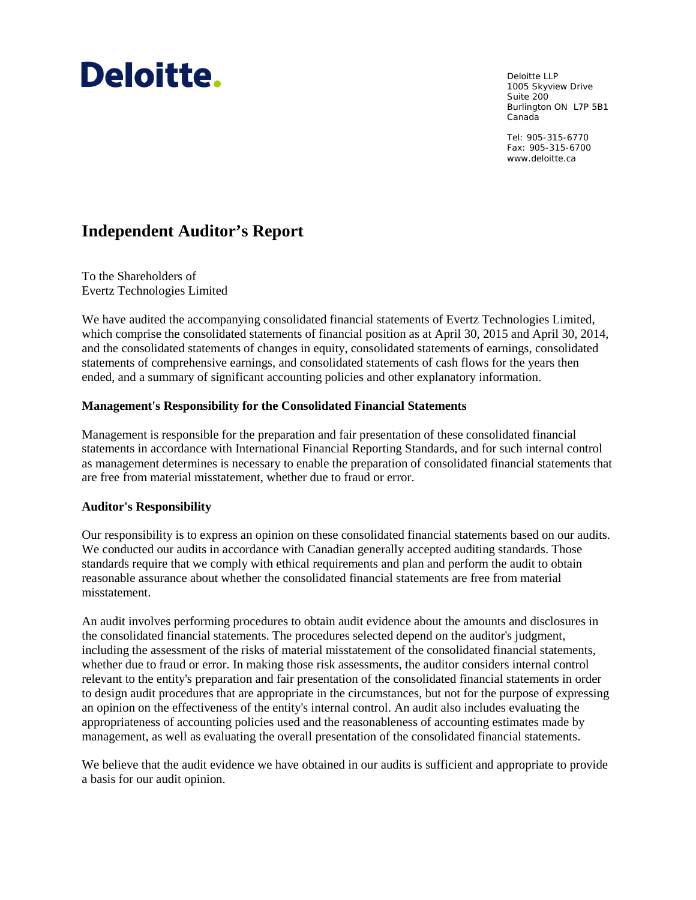# Deloitte.

Deloitte LLP 1005 Skyview Drive Suite 200 Burlington ON L7P 5B1 Canada

Tel: 905-315-6770 Fax: 905-315-6700 www.deloitte.ca

# **Independent Auditor's Report**

To the Shareholders of Evertz Technologies Limited

We have audited the accompanying consolidated financial statements of Evertz Technologies Limited, which comprise the consolidated statements of financial position as at April 30, 2015 and April 30, 2014, and the consolidated statements of changes in equity, consolidated statements of earnings, consolidated statements of comprehensive earnings, and consolidated statements of cash flows for the years then ended, and a summary of significant accounting policies and other explanatory information.

# **Management's Responsibility for the Consolidated Financial Statements**

Management is responsible for the preparation and fair presentation of these consolidated financial statements in accordance with International Financial Reporting Standards, and for such internal control as management determines is necessary to enable the preparation of consolidated financial statements that are free from material misstatement, whether due to fraud or error.

# **Auditor's Responsibility**

Our responsibility is to express an opinion on these consolidated financial statements based on our audits. We conducted our audits in accordance with Canadian generally accepted auditing standards. Those standards require that we comply with ethical requirements and plan and perform the audit to obtain reasonable assurance about whether the consolidated financial statements are free from material misstatement.

An audit involves performing procedures to obtain audit evidence about the amounts and disclosures in the consolidated financial statements. The procedures selected depend on the auditor's judgment, including the assessment of the risks of material misstatement of the consolidated financial statements, whether due to fraud or error. In making those risk assessments, the auditor considers internal control relevant to the entity's preparation and fair presentation of the consolidated financial statements in order to design audit procedures that are appropriate in the circumstances, but not for the purpose of expressing an opinion on the effectiveness of the entity's internal control. An audit also includes evaluating the appropriateness of accounting policies used and the reasonableness of accounting estimates made by management, as well as evaluating the overall presentation of the consolidated financial statements.

We believe that the audit evidence we have obtained in our audits is sufficient and appropriate to provide a basis for our audit opinion.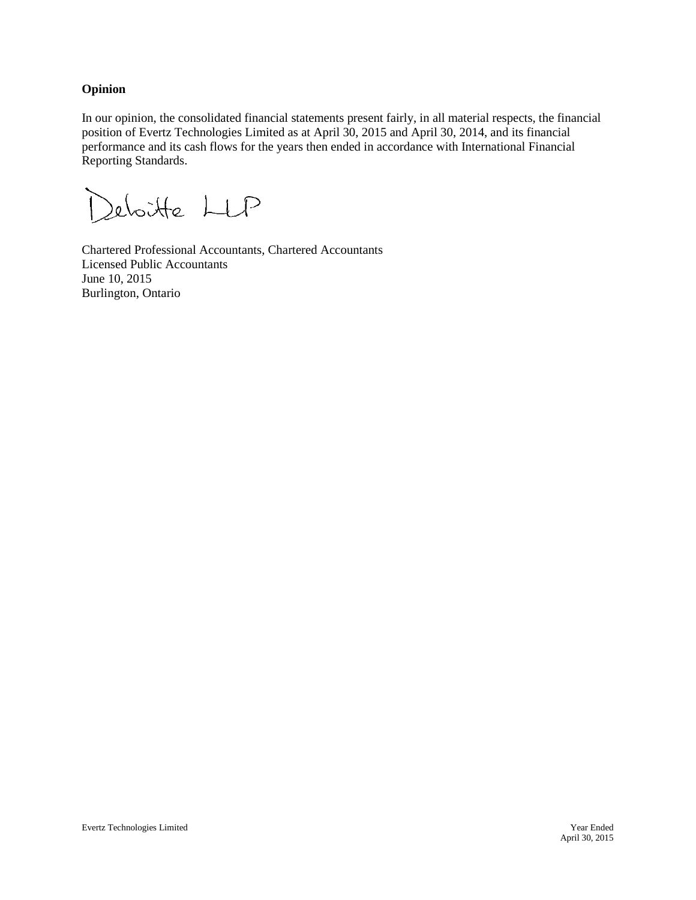# **Opinion**

In our opinion, the consolidated financial statements present fairly, in all material respects, the financial position of Evertz Technologies Limited as at April 30, 2015 and April 30, 2014, and its financial performance and its cash flows for the years then ended in accordance with International Financial Reporting Standards.

Deloitte LLP

Chartered Professional Accountants, Chartered Accountants Licensed Public Accountants June 10, 2015 Burlington, Ontario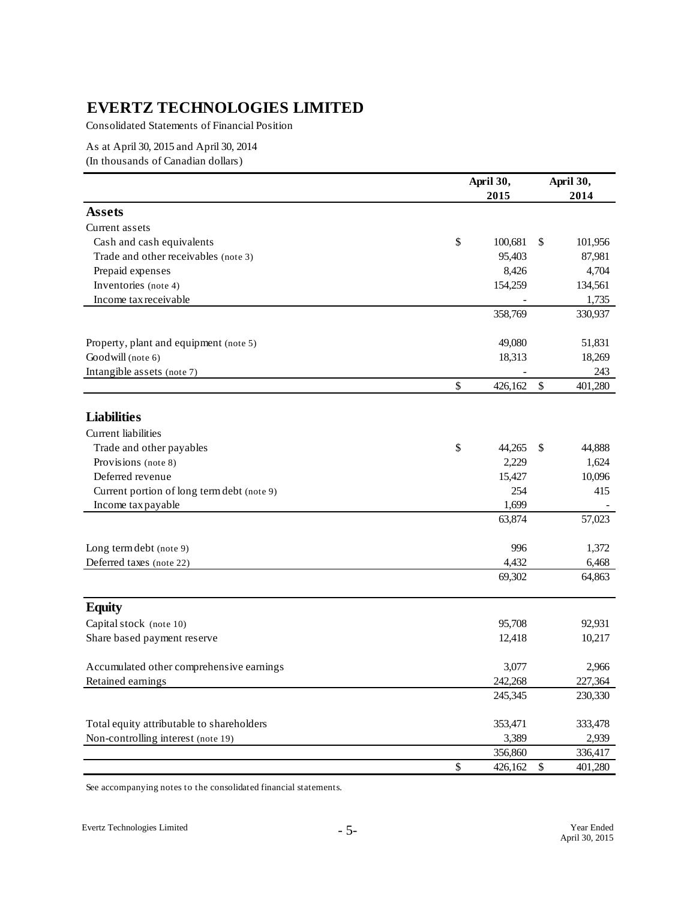Consolidated Statements of Financial Position

As at April 30, 2015 and April 30, 2014

(In thousands of Canadian dollars)

|                                            | April 30,       |               | April 30, |
|--------------------------------------------|-----------------|---------------|-----------|
|                                            | 2015            |               | 2014      |
| <b>Assets</b>                              |                 |               |           |
| Current assets                             |                 |               |           |
| Cash and cash equivalents                  | \$<br>100,681   | \$            | 101,956   |
| Trade and other receivables (note 3)       | 95,403          |               | 87,981    |
| Prepaid expenses                           | 8,426           |               | 4,704     |
| Inventories (note 4)                       | 154,259         |               | 134,561   |
| Income tax receivable                      |                 |               | 1,735     |
|                                            | 358,769         |               | 330,937   |
| Property, plant and equipment (note 5)     | 49,080          |               | 51,831    |
| Goodwill (note 6)                          | 18,313          |               | 18,269    |
| Intangible assets (note 7)                 |                 |               | 243       |
|                                            | \$<br>426,162   | $\mathcal{S}$ | 401,280   |
| <b>Liabilities</b>                         |                 |               |           |
|                                            |                 |               |           |
| Current liabilities                        |                 |               |           |
| Trade and other payables                   | \$<br>44,265    | \$            | 44,888    |
| Provisions (note 8)<br>Deferred revenue    | 2,229           |               | 1,624     |
|                                            | 15,427          |               | 10,096    |
| Current portion of long term debt (note 9) | 254             |               | 415       |
| Income tax payable                         | 1,699<br>63,874 |               | 57,023    |
|                                            |                 |               |           |
| Long term debt (note 9)                    | 996             |               | 1,372     |
| Deferred taxes (note 22)                   | 4,432           |               | 6,468     |
|                                            | 69,302          |               | 64,863    |
| <b>Equity</b>                              |                 |               |           |
| Capital stock (note 10)                    | 95,708          |               | 92,931    |
| Share based payment reserve                | 12,418          |               | 10,217    |
| Accumulated other comprehensive earnings   | 3,077           |               | 2,966     |
| Retained earnings                          | 242,268         |               | 227.364   |
|                                            | 245,345         |               | 230,330   |
| Total equity attributable to shareholders  | 353,471         |               | 333,478   |
| Non-controlling interest (note 19)         | 3,389           |               | 2,939     |
|                                            | 356,860         |               | 336,417   |
|                                            | \$<br>426,162   | \$            | 401,280   |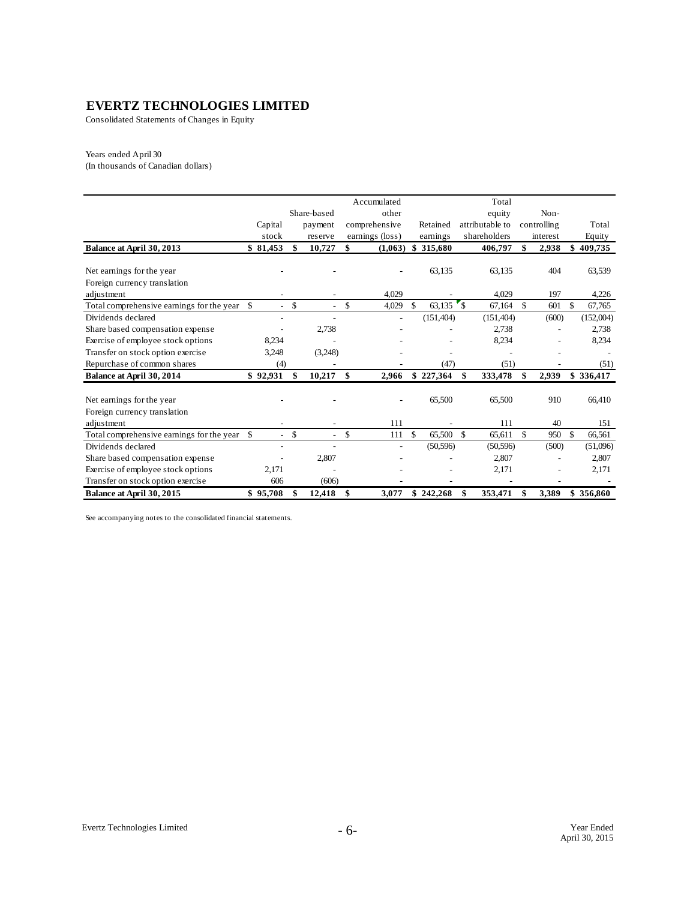Consolidated Statements of Changes in Equity

#### Years ended April 30

(In thousands of Canadian dollars)

|                                           | Accumulated   |          |               |                          |               |                 |               |            |                 |            |               |       |              |           |
|-------------------------------------------|---------------|----------|---------------|--------------------------|---------------|-----------------|---------------|------------|-----------------|------------|---------------|-------|--------------|-----------|
|                                           |               |          |               | Share-based              |               | other           |               |            | equity          | Non-       |               |       |              |           |
|                                           |               | Capital  |               | payment                  |               | comprehensive   |               | Retained   | attributable to |            | controlling   |       |              | Total     |
|                                           |               | stock    |               | reserve                  |               | earnings (loss) |               | earnings   | shareholders    |            | interest      |       |              | Equity    |
| Balance at April 30, 2013                 |               | \$81,453 | \$            | 10,727                   | \$            | (1,063)         |               | \$315,680  |                 | 406,797    | \$            | 2,938 | \$           | 409,735   |
|                                           |               |          |               |                          |               |                 |               |            |                 |            |               |       |              |           |
| Net earnings for the year                 |               |          |               |                          |               |                 |               | 63,135     |                 | 63,135     |               | 404   |              | 63,539    |
| Foreign currency translation              |               |          |               |                          |               |                 |               |            |                 |            |               |       |              |           |
| adjustment                                |               |          |               |                          |               | 4,029           |               |            |                 | 4,029      |               | 197   |              | 4,226     |
| Total comprehensive earnings for the year | \$            | $\sim$   | <sup>\$</sup> | $\overline{\phantom{a}}$ | $\mathcal{S}$ | 4,029           | \$            | 63,135     | $\mathcal{S}$   | 67,164     | $\mathcal{S}$ | 601   | \$           | 67,765    |
| Dividends declared                        |               |          |               |                          |               |                 |               | (151, 404) |                 | (151, 404) |               | (600) |              | (152,004) |
| Share based compensation expense          |               |          |               | 2,738                    |               |                 |               |            |                 | 2,738      |               |       |              | 2,738     |
| Exercise of employee stock options        |               | 8,234    |               |                          |               |                 |               |            |                 | 8,234      |               |       |              | 8,234     |
| Transfer on stock option exercise         |               | 3,248    |               | (3,248)                  |               |                 |               |            |                 |            |               |       |              |           |
| Repurchase of common shares               |               | (4)      |               |                          |               |                 |               | (47)       |                 | (51)       |               |       |              | (51)      |
| Balance at April 30, 2014                 |               | \$92,931 | \$            | 10,217                   | \$            | 2,966           |               | \$227,364  | \$              | 333,478    | \$            | 2,939 |              | \$336,417 |
|                                           |               |          |               |                          |               |                 |               |            |                 |            |               |       |              |           |
| Net earnings for the year                 |               |          |               |                          |               |                 |               | 65,500     |                 | 65,500     |               | 910   |              | 66,410    |
| Foreign currency translation              |               |          |               |                          |               |                 |               |            |                 |            |               |       |              |           |
| adjustment                                |               |          |               |                          |               | 111             |               |            |                 | 111        |               | 40    |              | 151       |
| Total comprehensive earnings for the year | <sup>\$</sup> | $\sim$   | <sup>\$</sup> | $\overline{\phantom{0}}$ | <sup>\$</sup> | 111             | <sup>\$</sup> | 65,500     | \$              | 65,611     | $\mathcal{S}$ | 950   | $\mathbb{S}$ | 66,561    |
| Dividends declared                        |               |          |               |                          |               |                 |               | (50, 596)  |                 | (50, 596)  |               | (500) |              | (51,096)  |
| Share based compensation expense          |               |          |               | 2,807                    |               |                 |               |            |                 | 2,807      |               |       |              | 2,807     |
| Exercise of employee stock options        |               | 2,171    |               |                          |               |                 |               |            |                 | 2,171      |               |       |              | 2,171     |
| Transfer on stock option exercise         |               | 606      |               | (606)                    |               |                 |               |            |                 |            |               |       |              |           |
| Balance at April 30, 2015                 |               | \$95,708 | \$            | 12,418                   | \$            | 3,077           |               | \$242,268  | \$              | 353,471    | \$            | 3,389 |              | \$356,860 |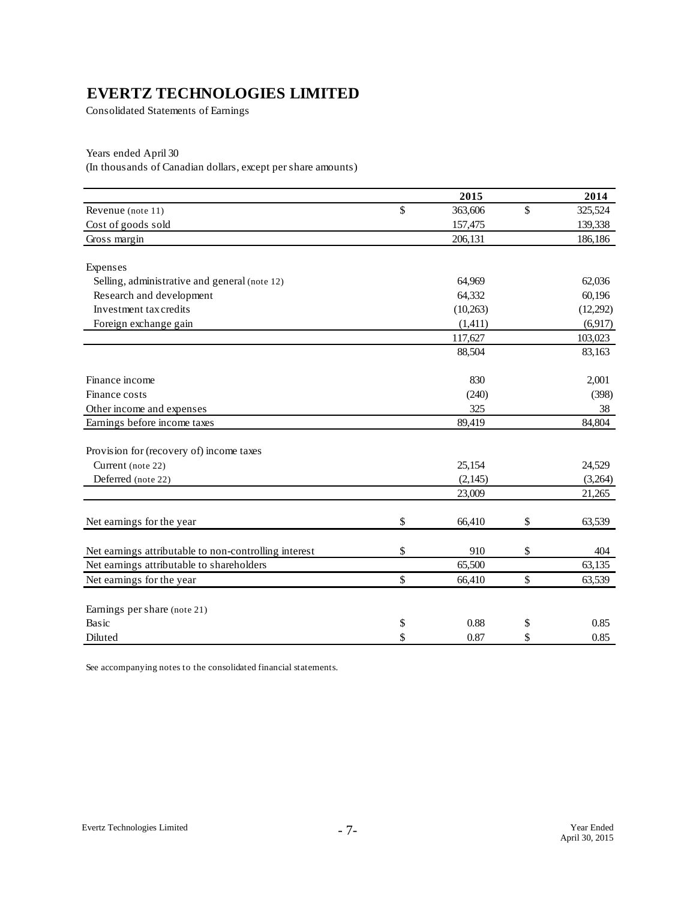Consolidated Statements of Earnings

Years ended April 30

(In thousands of Canadian dollars, except per share amounts)

|                                                       | 2015          | 2014          |
|-------------------------------------------------------|---------------|---------------|
| Revenue (note 11)                                     | \$<br>363,606 | \$<br>325,524 |
| Cost of goods sold                                    | 157,475       | 139,338       |
| Gross margin                                          | 206,131       | 186,186       |
| Expenses                                              |               |               |
| Selling, administrative and general (note 12)         | 64,969        | 62,036        |
| Research and development                              | 64,332        | 60,196        |
| Investment tax credits                                | (10,263)      | (12,292)      |
| Foreign exchange gain                                 | (1,411)       | (6,917)       |
|                                                       | 117,627       | 103,023       |
|                                                       | 88,504        | 83,163        |
| Finance income                                        | 830           | 2,001         |
| Finance costs                                         | (240)         | (398)         |
| Other income and expenses                             | 325           | 38            |
| Earnings before income taxes                          | 89,419        | 84,804        |
| Provision for (recovery of) income taxes              |               |               |
| Current (note 22)                                     | 25,154        | 24,529        |
| Deferred (note 22)                                    | (2,145)       | (3,264)       |
|                                                       | 23,009        | 21,265        |
| Net earnings for the year                             | \$<br>66,410  | \$<br>63,539  |
| Net earnings attributable to non-controlling interest | \$<br>910     | \$<br>404     |
| Net earnings attributable to shareholders             | 65,500        | 63,135        |
| Net earnings for the year                             | \$<br>66,410  | \$<br>63,539  |
|                                                       |               |               |
| Earnings per share (note 21)                          |               |               |
| Basic                                                 | \$<br>0.88    | \$<br>0.85    |
| Diluted                                               | \$<br>0.87    | \$<br>0.85    |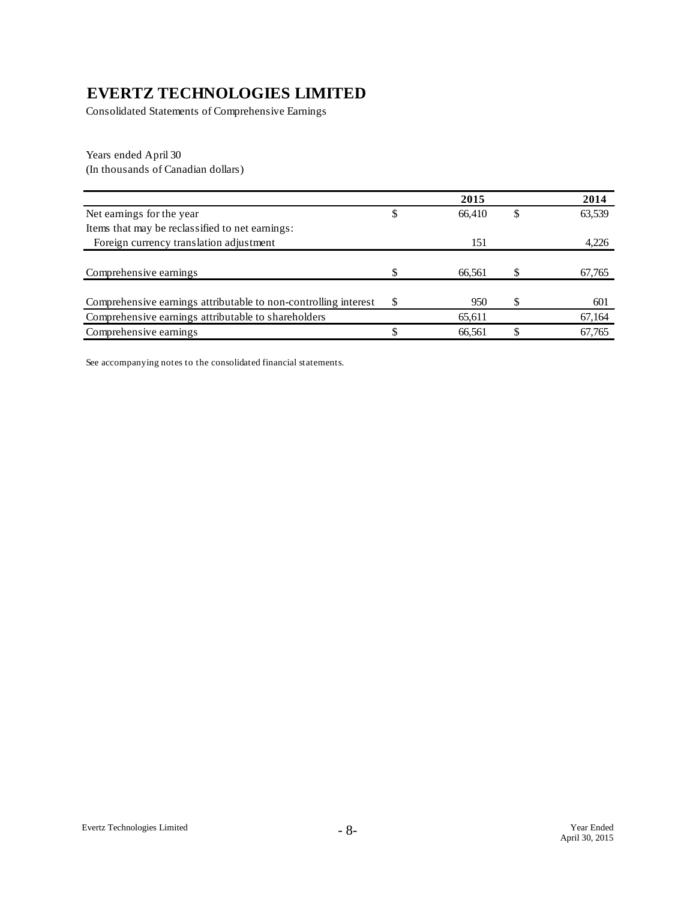Consolidated Statements of Comprehensive Earnings

Years ended April 30 (In thousands of Canadian dollars)

|                                                                 |     | 2015   |   | 2014   |
|-----------------------------------------------------------------|-----|--------|---|--------|
| Net earnings for the year.                                      | \$  | 66,410 | S | 63,539 |
| Items that may be reclassified to net earnings:                 |     |        |   |        |
| Foreign currency translation adjustment                         |     | 151    |   | 4,226  |
|                                                                 |     |        |   |        |
| Comprehensive earnings                                          | S   | 66,561 |   | 67,765 |
|                                                                 |     |        |   |        |
| Comprehensive earnings attributable to non-controlling interest | \$. | 950    |   | 601    |
| Comprehensive earnings attributable to shareholders             |     | 65,611 |   | 67,164 |
| Comprehensive earnings                                          |     | 66,561 |   | 67,765 |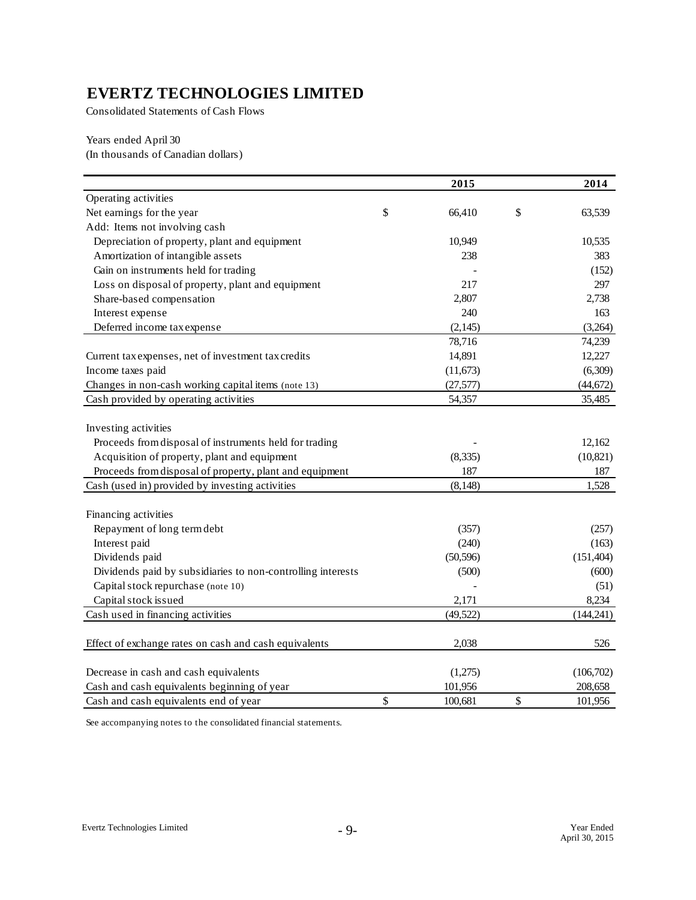Consolidated Statements of Cash Flows

Years ended April 30 (In thousands of Canadian dollars)

|                                                             | 2015          | 2014          |
|-------------------------------------------------------------|---------------|---------------|
| Operating activities                                        |               |               |
| Net earnings for the year                                   | \$<br>66,410  | \$<br>63,539  |
| Add: Items not involving cash                               |               |               |
| Depreciation of property, plant and equipment               | 10,949        | 10,535        |
| Amortization of intangible assets                           | 238           | 383           |
| Gain on instruments held for trading                        |               | (152)         |
| Loss on disposal of property, plant and equipment           | 217           | 297           |
| Share-based compensation                                    | 2,807         | 2,738         |
| Interest expense                                            | 240           | 163           |
| Deferred income tax expense                                 | (2, 145)      | (3,264)       |
|                                                             | 78,716        | 74,239        |
| Current tax expenses, net of investment tax credits         | 14,891        | 12,227        |
| Income taxes paid                                           | (11, 673)     | (6,309)       |
| Changes in non-cash working capital items (note 13)         | (27, 577)     | (44, 672)     |
| Cash provided by operating activities                       | 54,357        | 35,485        |
| Investing activities                                        |               |               |
| Proceeds from disposal of instruments held for trading      |               | 12,162        |
| Acquisition of property, plant and equipment                | (8, 335)      | (10, 821)     |
| Proceeds from disposal of property, plant and equipment     | 187           | 187           |
| Cash (used in) provided by investing activities             | (8, 148)      | 1,528         |
| Financing activities                                        |               |               |
| Repayment of long term debt                                 | (357)         | (257)         |
| Interest paid                                               | (240)         | (163)         |
| Dividends paid                                              | (50, 596)     | (151, 404)    |
| Dividends paid by subsidiaries to non-controlling interests | (500)         | (600)         |
| Capital stock repurchase (note 10)                          |               | (51)          |
| Capital stock issued                                        | 2,171         | 8,234         |
| Cash used in financing activities                           | (49, 522)     | (144, 241)    |
| Effect of exchange rates on cash and cash equivalents       | 2,038         | 526           |
| Decrease in cash and cash equivalents                       | (1,275)       | (106,702)     |
| Cash and cash equivalents beginning of year                 | 101,956       | 208,658       |
| Cash and cash equivalents end of year                       | \$<br>100,681 | \$<br>101,956 |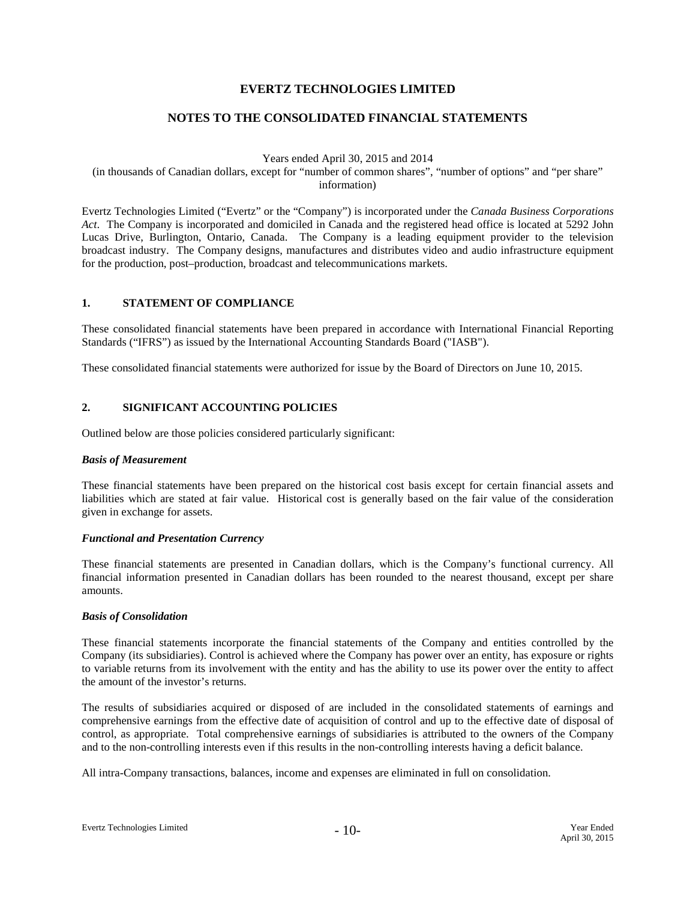# **NOTES TO THE CONSOLIDATED FINANCIAL STATEMENTS**

Years ended April 30, 2015 and 2014

(in thousands of Canadian dollars, except for "number of common shares", "number of options" and "per share" information)

Evertz Technologies Limited ("Evertz" or the "Company") is incorporated under the *Canada Business Corporations Act*. The Company is incorporated and domiciled in Canada and the registered head office is located at 5292 John Lucas Drive, Burlington, Ontario, Canada. The Company is a leading equipment provider to the television broadcast industry. The Company designs, manufactures and distributes video and audio infrastructure equipment for the production, post–production, broadcast and telecommunications markets.

#### **1. STATEMENT OF COMPLIANCE**

These consolidated financial statements have been prepared in accordance with International Financial Reporting Standards ("IFRS") as issued by the International Accounting Standards Board ("IASB").

These consolidated financial statements were authorized for issue by the Board of Directors on June 10, 2015.

#### **2. SIGNIFICANT ACCOUNTING POLICIES**

Outlined below are those policies considered particularly significant:

#### *Basis of Measurement*

These financial statements have been prepared on the historical cost basis except for certain financial assets and liabilities which are stated at fair value. Historical cost is generally based on the fair value of the consideration given in exchange for assets.

#### *Functional and Presentation Currency*

These financial statements are presented in Canadian dollars, which is the Company's functional currency. All financial information presented in Canadian dollars has been rounded to the nearest thousand, except per share amounts.

#### *Basis of Consolidation*

These financial statements incorporate the financial statements of the Company and entities controlled by the Company (its subsidiaries). Control is achieved where the Company has power over an entity, has exposure or rights to variable returns from its involvement with the entity and has the ability to use its power over the entity to affect the amount of the investor's returns.

The results of subsidiaries acquired or disposed of are included in the consolidated statements of earnings and comprehensive earnings from the effective date of acquisition of control and up to the effective date of disposal of control, as appropriate. Total comprehensive earnings of subsidiaries is attributed to the owners of the Company and to the non-controlling interests even if this results in the non-controlling interests having a deficit balance.

All intra-Company transactions, balances, income and expenses are eliminated in full on consolidation.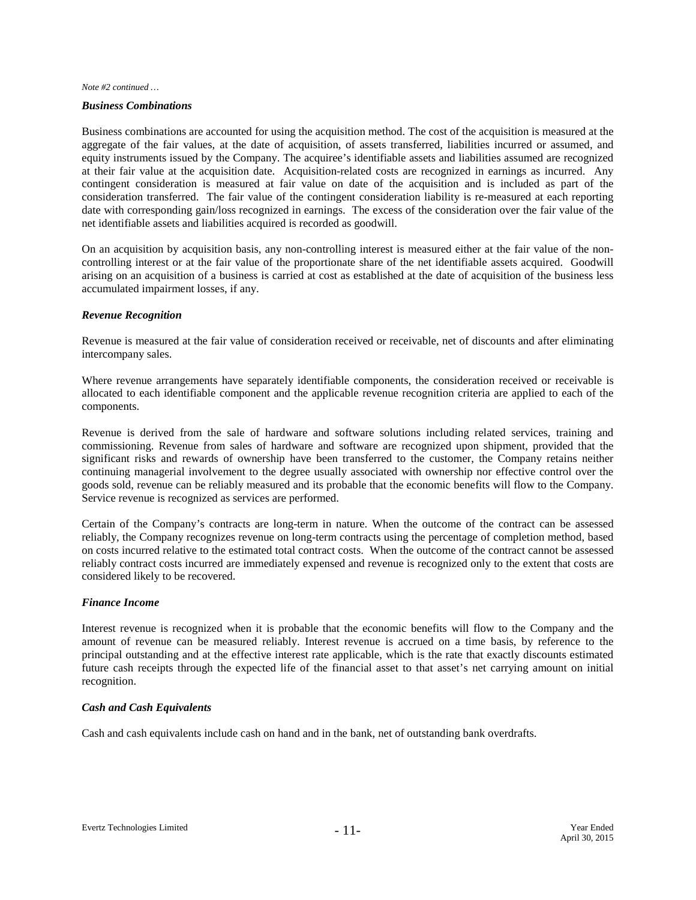#### *Business Combinations*

Business combinations are accounted for using the acquisition method. The cost of the acquisition is measured at the aggregate of the fair values, at the date of acquisition, of assets transferred, liabilities incurred or assumed, and equity instruments issued by the Company. The acquiree's identifiable assets and liabilities assumed are recognized at their fair value at the acquisition date. Acquisition-related costs are recognized in earnings as incurred. Any contingent consideration is measured at fair value on date of the acquisition and is included as part of the consideration transferred. The fair value of the contingent consideration liability is re-measured at each reporting date with corresponding gain/loss recognized in earnings. The excess of the consideration over the fair value of the net identifiable assets and liabilities acquired is recorded as goodwill.

On an acquisition by acquisition basis, any non-controlling interest is measured either at the fair value of the noncontrolling interest or at the fair value of the proportionate share of the net identifiable assets acquired. Goodwill arising on an acquisition of a business is carried at cost as established at the date of acquisition of the business less accumulated impairment losses, if any.

#### *Revenue Recognition*

Revenue is measured at the fair value of consideration received or receivable, net of discounts and after eliminating intercompany sales.

Where revenue arrangements have separately identifiable components, the consideration received or receivable is allocated to each identifiable component and the applicable revenue recognition criteria are applied to each of the components.

Revenue is derived from the sale of hardware and software solutions including related services, training and commissioning. Revenue from sales of hardware and software are recognized upon shipment, provided that the significant risks and rewards of ownership have been transferred to the customer, the Company retains neither continuing managerial involvement to the degree usually associated with ownership nor effective control over the goods sold, revenue can be reliably measured and its probable that the economic benefits will flow to the Company. Service revenue is recognized as services are performed.

Certain of the Company's contracts are long-term in nature. When the outcome of the contract can be assessed reliably, the Company recognizes revenue on long-term contracts using the percentage of completion method, based on costs incurred relative to the estimated total contract costs. When the outcome of the contract cannot be assessed reliably contract costs incurred are immediately expensed and revenue is recognized only to the extent that costs are considered likely to be recovered.

#### *Finance Income*

Interest revenue is recognized when it is probable that the economic benefits will flow to the Company and the amount of revenue can be measured reliably. Interest revenue is accrued on a time basis, by reference to the principal outstanding and at the effective interest rate applicable, which is the rate that exactly discounts estimated future cash receipts through the expected life of the financial asset to that asset's net carrying amount on initial recognition.

#### *Cash and Cash Equivalents*

Cash and cash equivalents include cash on hand and in the bank, net of outstanding bank overdrafts.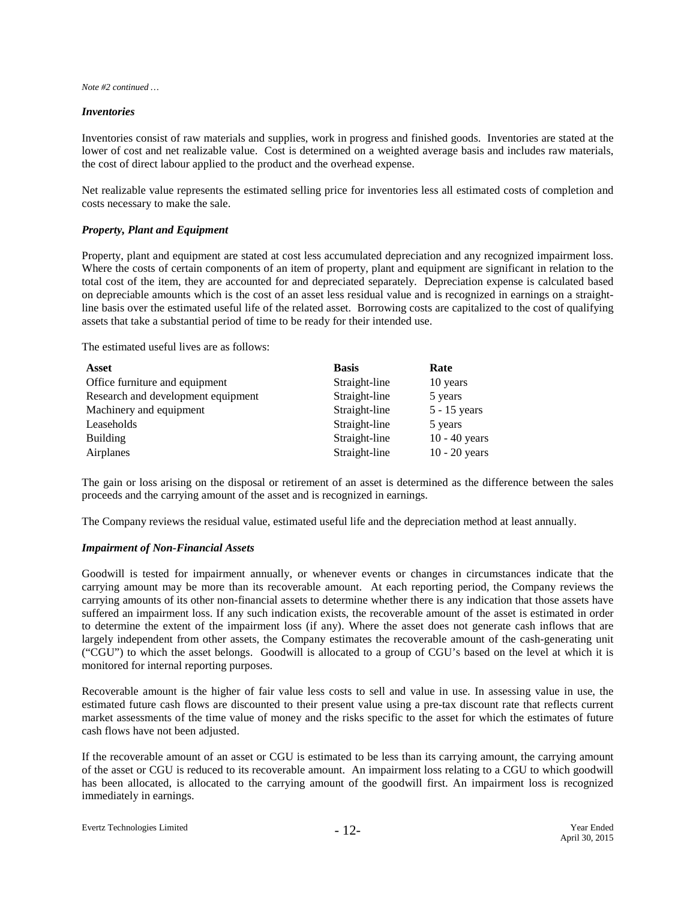#### *Inventories*

Inventories consist of raw materials and supplies, work in progress and finished goods. Inventories are stated at the lower of cost and net realizable value. Cost is determined on a weighted average basis and includes raw materials, the cost of direct labour applied to the product and the overhead expense.

Net realizable value represents the estimated selling price for inventories less all estimated costs of completion and costs necessary to make the sale.

#### *Property, Plant and Equipment*

Property, plant and equipment are stated at cost less accumulated depreciation and any recognized impairment loss. Where the costs of certain components of an item of property, plant and equipment are significant in relation to the total cost of the item, they are accounted for and depreciated separately. Depreciation expense is calculated based on depreciable amounts which is the cost of an asset less residual value and is recognized in earnings on a straightline basis over the estimated useful life of the related asset. Borrowing costs are capitalized to the cost of qualifying assets that take a substantial period of time to be ready for their intended use.

The estimated useful lives are as follows:

| Asset                              | <b>Basis</b>  | Rate            |
|------------------------------------|---------------|-----------------|
| Office furniture and equipment     | Straight-line | 10 years        |
| Research and development equipment | Straight-line | 5 years         |
| Machinery and equipment            | Straight-line | $5 - 15$ years  |
| Leaseholds                         | Straight-line | 5 years         |
| <b>Building</b>                    | Straight-line | $10 - 40$ years |
| Airplanes                          | Straight-line | $10 - 20$ years |

The gain or loss arising on the disposal or retirement of an asset is determined as the difference between the sales proceeds and the carrying amount of the asset and is recognized in earnings.

The Company reviews the residual value, estimated useful life and the depreciation method at least annually.

#### *Impairment of Non-Financial Assets*

Goodwill is tested for impairment annually, or whenever events or changes in circumstances indicate that the carrying amount may be more than its recoverable amount. At each reporting period, the Company reviews the carrying amounts of its other non-financial assets to determine whether there is any indication that those assets have suffered an impairment loss. If any such indication exists, the recoverable amount of the asset is estimated in order to determine the extent of the impairment loss (if any). Where the asset does not generate cash inflows that are largely independent from other assets, the Company estimates the recoverable amount of the cash-generating unit ("CGU") to which the asset belongs. Goodwill is allocated to a group of CGU's based on the level at which it is monitored for internal reporting purposes.

Recoverable amount is the higher of fair value less costs to sell and value in use. In assessing value in use, the estimated future cash flows are discounted to their present value using a pre-tax discount rate that reflects current market assessments of the time value of money and the risks specific to the asset for which the estimates of future cash flows have not been adjusted.

If the recoverable amount of an asset or CGU is estimated to be less than its carrying amount, the carrying amount of the asset or CGU is reduced to its recoverable amount. An impairment loss relating to a CGU to which goodwill has been allocated, is allocated to the carrying amount of the goodwill first. An impairment loss is recognized immediately in earnings.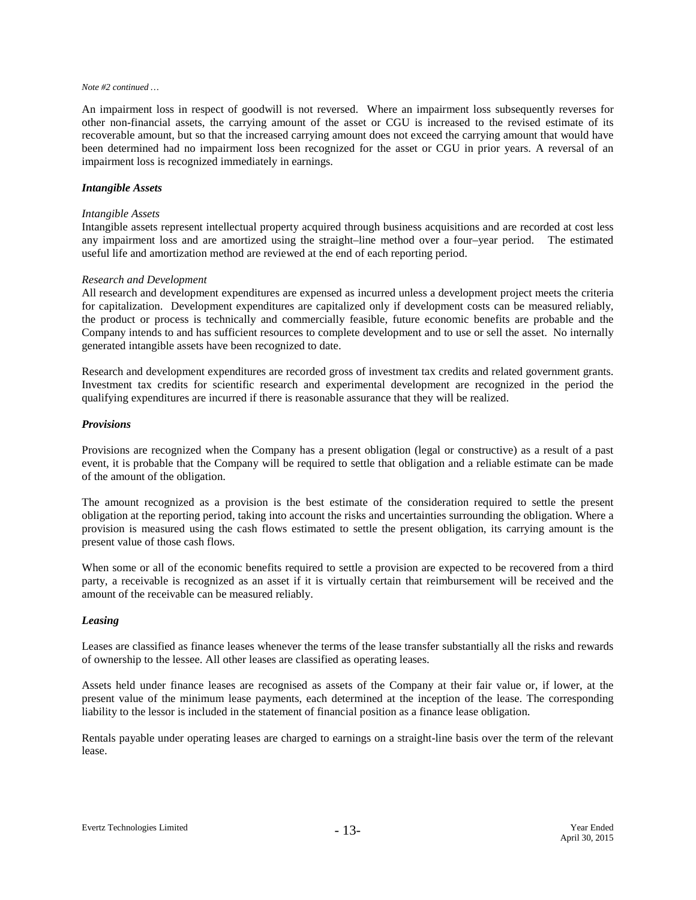An impairment loss in respect of goodwill is not reversed. Where an impairment loss subsequently reverses for other non-financial assets, the carrying amount of the asset or CGU is increased to the revised estimate of its recoverable amount, but so that the increased carrying amount does not exceed the carrying amount that would have been determined had no impairment loss been recognized for the asset or CGU in prior years. A reversal of an impairment loss is recognized immediately in earnings.

#### *Intangible Assets*

#### *Intangible Assets*

Intangible assets represent intellectual property acquired through business acquisitions and are recorded at cost less any impairment loss and are amortized using the straight–line method over a four–year period. The estimated useful life and amortization method are reviewed at the end of each reporting period.

#### *Research and Development*

All research and development expenditures are expensed as incurred unless a development project meets the criteria for capitalization. Development expenditures are capitalized only if development costs can be measured reliably, the product or process is technically and commercially feasible, future economic benefits are probable and the Company intends to and has sufficient resources to complete development and to use or sell the asset. No internally generated intangible assets have been recognized to date.

Research and development expenditures are recorded gross of investment tax credits and related government grants. Investment tax credits for scientific research and experimental development are recognized in the period the qualifying expenditures are incurred if there is reasonable assurance that they will be realized.

#### *Provisions*

Provisions are recognized when the Company has a present obligation (legal or constructive) as a result of a past event, it is probable that the Company will be required to settle that obligation and a reliable estimate can be made of the amount of the obligation.

The amount recognized as a provision is the best estimate of the consideration required to settle the present obligation at the reporting period, taking into account the risks and uncertainties surrounding the obligation. Where a provision is measured using the cash flows estimated to settle the present obligation, its carrying amount is the present value of those cash flows.

When some or all of the economic benefits required to settle a provision are expected to be recovered from a third party, a receivable is recognized as an asset if it is virtually certain that reimbursement will be received and the amount of the receivable can be measured reliably.

#### *Leasing*

Leases are classified as finance leases whenever the terms of the lease transfer substantially all the risks and rewards of ownership to the lessee. All other leases are classified as operating leases.

Assets held under finance leases are recognised as assets of the Company at their fair value or, if lower, at the present value of the minimum lease payments, each determined at the inception of the lease. The corresponding liability to the lessor is included in the statement of financial position as a finance lease obligation.

Rentals payable under operating leases are charged to earnings on a straight-line basis over the term of the relevant lease.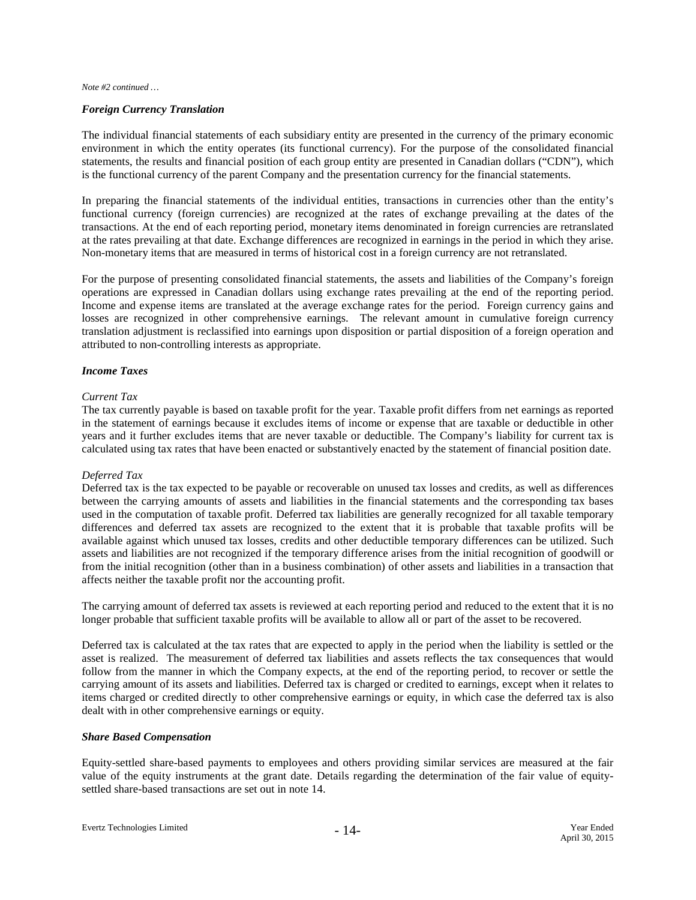#### *Foreign Currency Translation*

The individual financial statements of each subsidiary entity are presented in the currency of the primary economic environment in which the entity operates (its functional currency). For the purpose of the consolidated financial statements, the results and financial position of each group entity are presented in Canadian dollars ("CDN"), which is the functional currency of the parent Company and the presentation currency for the financial statements.

In preparing the financial statements of the individual entities, transactions in currencies other than the entity's functional currency (foreign currencies) are recognized at the rates of exchange prevailing at the dates of the transactions. At the end of each reporting period, monetary items denominated in foreign currencies are retranslated at the rates prevailing at that date. Exchange differences are recognized in earnings in the period in which they arise. Non-monetary items that are measured in terms of historical cost in a foreign currency are not retranslated.

For the purpose of presenting consolidated financial statements, the assets and liabilities of the Company's foreign operations are expressed in Canadian dollars using exchange rates prevailing at the end of the reporting period. Income and expense items are translated at the average exchange rates for the period. Foreign currency gains and losses are recognized in other comprehensive earnings. The relevant amount in cumulative foreign currency translation adjustment is reclassified into earnings upon disposition or partial disposition of a foreign operation and attributed to non-controlling interests as appropriate.

#### *Income Taxes*

#### *Current Tax*

The tax currently payable is based on taxable profit for the year. Taxable profit differs from net earnings as reported in the statement of earnings because it excludes items of income or expense that are taxable or deductible in other years and it further excludes items that are never taxable or deductible. The Company's liability for current tax is calculated using tax rates that have been enacted or substantively enacted by the statement of financial position date.

#### *Deferred Tax*

Deferred tax is the tax expected to be payable or recoverable on unused tax losses and credits, as well as differences between the carrying amounts of assets and liabilities in the financial statements and the corresponding tax bases used in the computation of taxable profit. Deferred tax liabilities are generally recognized for all taxable temporary differences and deferred tax assets are recognized to the extent that it is probable that taxable profits will be available against which unused tax losses, credits and other deductible temporary differences can be utilized. Such assets and liabilities are not recognized if the temporary difference arises from the initial recognition of goodwill or from the initial recognition (other than in a business combination) of other assets and liabilities in a transaction that affects neither the taxable profit nor the accounting profit.

The carrying amount of deferred tax assets is reviewed at each reporting period and reduced to the extent that it is no longer probable that sufficient taxable profits will be available to allow all or part of the asset to be recovered.

Deferred tax is calculated at the tax rates that are expected to apply in the period when the liability is settled or the asset is realized. The measurement of deferred tax liabilities and assets reflects the tax consequences that would follow from the manner in which the Company expects, at the end of the reporting period, to recover or settle the carrying amount of its assets and liabilities. Deferred tax is charged or credited to earnings, except when it relates to items charged or credited directly to other comprehensive earnings or equity, in which case the deferred tax is also dealt with in other comprehensive earnings or equity.

#### *Share Based Compensation*

Equity-settled share-based payments to employees and others providing similar services are measured at the fair value of the equity instruments at the grant date. Details regarding the determination of the fair value of equitysettled share-based transactions are set out in note 14.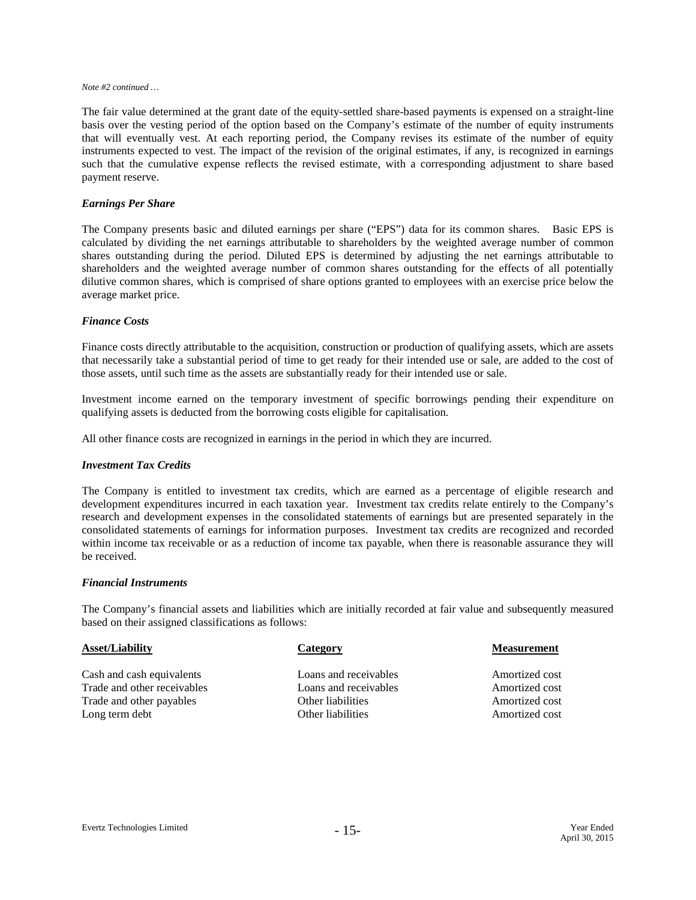The fair value determined at the grant date of the equity-settled share-based payments is expensed on a straight-line basis over the vesting period of the option based on the Company's estimate of the number of equity instruments that will eventually vest. At each reporting period, the Company revises its estimate of the number of equity instruments expected to vest. The impact of the revision of the original estimates, if any, is recognized in earnings such that the cumulative expense reflects the revised estimate, with a corresponding adjustment to share based payment reserve.

#### *Earnings Per Share*

The Company presents basic and diluted earnings per share ("EPS") data for its common shares. Basic EPS is calculated by dividing the net earnings attributable to shareholders by the weighted average number of common shares outstanding during the period. Diluted EPS is determined by adjusting the net earnings attributable to shareholders and the weighted average number of common shares outstanding for the effects of all potentially dilutive common shares, which is comprised of share options granted to employees with an exercise price below the average market price.

#### *Finance Costs*

Finance costs directly attributable to the acquisition, construction or production of qualifying assets, which are assets that necessarily take a substantial period of time to get ready for their intended use or sale, are added to the cost of those assets, until such time as the assets are substantially ready for their intended use or sale.

Investment income earned on the temporary investment of specific borrowings pending their expenditure on qualifying assets is deducted from the borrowing costs eligible for capitalisation.

All other finance costs are recognized in earnings in the period in which they are incurred.

## *Investment Tax Credits*

The Company is entitled to investment tax credits, which are earned as a percentage of eligible research and development expenditures incurred in each taxation year. Investment tax credits relate entirely to the Company's research and development expenses in the consolidated statements of earnings but are presented separately in the consolidated statements of earnings for information purposes. Investment tax credits are recognized and recorded within income tax receivable or as a reduction of income tax payable, when there is reasonable assurance they will be received.

#### *Financial Instruments*

The Company's financial assets and liabilities which are initially recorded at fair value and subsequently measured based on their assigned classifications as follows:

| <b>Asset/Liability</b>      | Category              | <b>Measurement</b> |
|-----------------------------|-----------------------|--------------------|
| Cash and cash equivalents   | Loans and receivables | Amortized cost     |
| Trade and other receivables | Loans and receivables | Amortized cost     |
| Trade and other payables    | Other liabilities     | Amortized cost     |
| Long term debt              | Other liabilities     | Amortized cost     |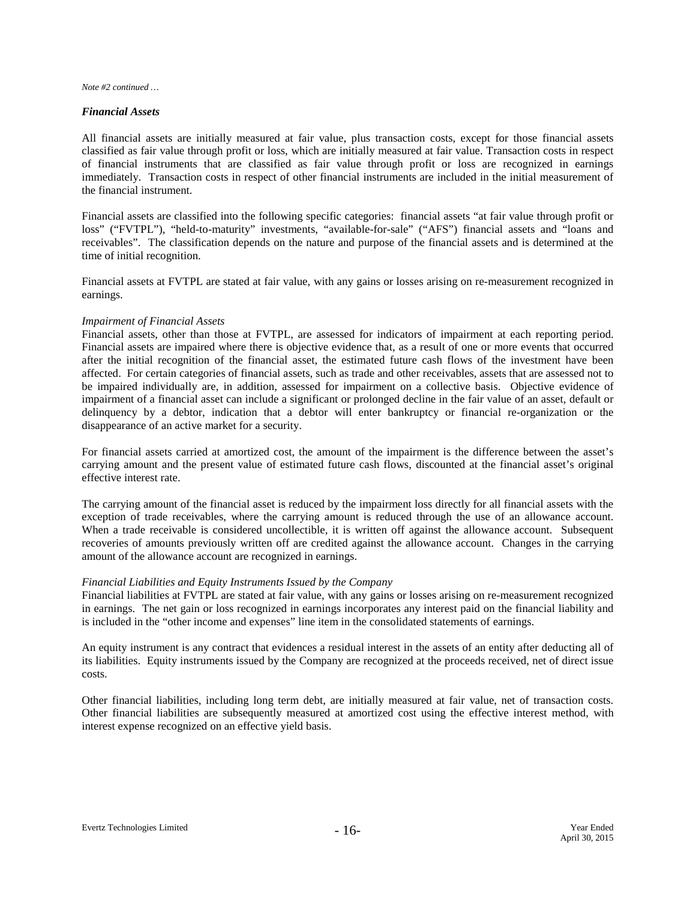#### *Financial Assets*

All financial assets are initially measured at fair value, plus transaction costs, except for those financial assets classified as fair value through profit or loss, which are initially measured at fair value. Transaction costs in respect of financial instruments that are classified as fair value through profit or loss are recognized in earnings immediately. Transaction costs in respect of other financial instruments are included in the initial measurement of the financial instrument.

Financial assets are classified into the following specific categories: financial assets "at fair value through profit or loss" ("FVTPL"), "held-to-maturity" investments, "available-for-sale" ("AFS") financial assets and "loans and receivables". The classification depends on the nature and purpose of the financial assets and is determined at the time of initial recognition.

Financial assets at FVTPL are stated at fair value, with any gains or losses arising on re-measurement recognized in earnings.

#### *Impairment of Financial Assets*

Financial assets, other than those at FVTPL, are assessed for indicators of impairment at each reporting period. Financial assets are impaired where there is objective evidence that, as a result of one or more events that occurred after the initial recognition of the financial asset, the estimated future cash flows of the investment have been affected. For certain categories of financial assets, such as trade and other receivables, assets that are assessed not to be impaired individually are, in addition, assessed for impairment on a collective basis. Objective evidence of impairment of a financial asset can include a significant or prolonged decline in the fair value of an asset, default or delinquency by a debtor, indication that a debtor will enter bankruptcy or financial re-organization or the disappearance of an active market for a security.

For financial assets carried at amortized cost, the amount of the impairment is the difference between the asset's carrying amount and the present value of estimated future cash flows, discounted at the financial asset's original effective interest rate.

The carrying amount of the financial asset is reduced by the impairment loss directly for all financial assets with the exception of trade receivables, where the carrying amount is reduced through the use of an allowance account. When a trade receivable is considered uncollectible, it is written off against the allowance account. Subsequent recoveries of amounts previously written off are credited against the allowance account. Changes in the carrying amount of the allowance account are recognized in earnings.

#### *Financial Liabilities and Equity Instruments Issued by the Company*

Financial liabilities at FVTPL are stated at fair value, with any gains or losses arising on re-measurement recognized in earnings. The net gain or loss recognized in earnings incorporates any interest paid on the financial liability and is included in the "other income and expenses" line item in the consolidated statements of earnings.

An equity instrument is any contract that evidences a residual interest in the assets of an entity after deducting all of its liabilities. Equity instruments issued by the Company are recognized at the proceeds received, net of direct issue costs.

Other financial liabilities, including long term debt, are initially measured at fair value, net of transaction costs. Other financial liabilities are subsequently measured at amortized cost using the effective interest method, with interest expense recognized on an effective yield basis.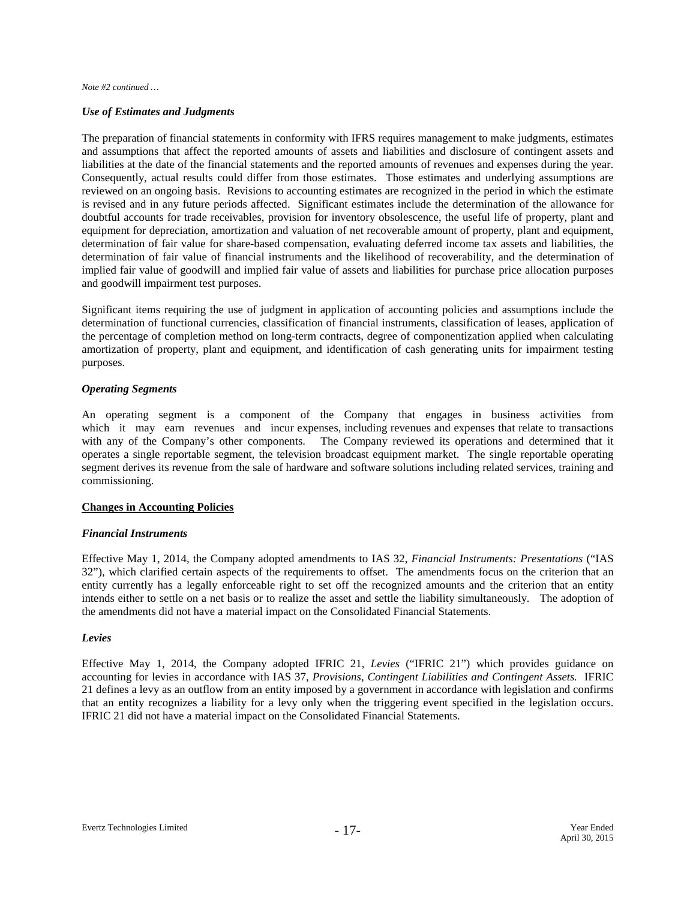#### *Use of Estimates and Judgments*

The preparation of financial statements in conformity with IFRS requires management to make judgments, estimates and assumptions that affect the reported amounts of assets and liabilities and disclosure of contingent assets and liabilities at the date of the financial statements and the reported amounts of revenues and expenses during the year. Consequently, actual results could differ from those estimates. Those estimates and underlying assumptions are reviewed on an ongoing basis. Revisions to accounting estimates are recognized in the period in which the estimate is revised and in any future periods affected. Significant estimates include the determination of the allowance for doubtful accounts for trade receivables, provision for inventory obsolescence, the useful life of property, plant and equipment for depreciation, amortization and valuation of net recoverable amount of property, plant and equipment, determination of fair value for share-based compensation, evaluating deferred income tax assets and liabilities, the determination of fair value of financial instruments and the likelihood of recoverability, and the determination of implied fair value of goodwill and implied fair value of assets and liabilities for purchase price allocation purposes and goodwill impairment test purposes.

Significant items requiring the use of judgment in application of accounting policies and assumptions include the determination of functional currencies, classification of financial instruments, classification of leases, application of the percentage of completion method on long-term contracts, degree of componentization applied when calculating amortization of property, plant and equipment, and identification of cash generating units for impairment testing purposes.

#### *Operating Segments*

An operating segment is a component of the Company that engages in business activities from which it may earn revenues and incur expenses, including revenues and expenses that relate to transactions with any of the Company's other components. The Company reviewed its operations and determined that it operates a single reportable segment, the television broadcast equipment market. The single reportable operating segment derives its revenue from the sale of hardware and software solutions including related services, training and commissioning.

#### **Changes in Accounting Policies**

#### *Financial Instruments*

Effective May 1, 2014, the Company adopted amendments to IAS 32, *Financial Instruments: Presentations* ("IAS 32"), which clarified certain aspects of the requirements to offset. The amendments focus on the criterion that an entity currently has a legally enforceable right to set off the recognized amounts and the criterion that an entity intends either to settle on a net basis or to realize the asset and settle the liability simultaneously. The adoption of the amendments did not have a material impact on the Consolidated Financial Statements.

#### *Levies*

Effective May 1, 2014, the Company adopted IFRIC 21, *Levies* ("IFRIC 21") which provides guidance on accounting for levies in accordance with IAS 37, *Provisions, Contingent Liabilities and Contingent Assets.* IFRIC 21 defines a levy as an outflow from an entity imposed by a government in accordance with legislation and confirms that an entity recognizes a liability for a levy only when the triggering event specified in the legislation occurs. IFRIC 21 did not have a material impact on the Consolidated Financial Statements.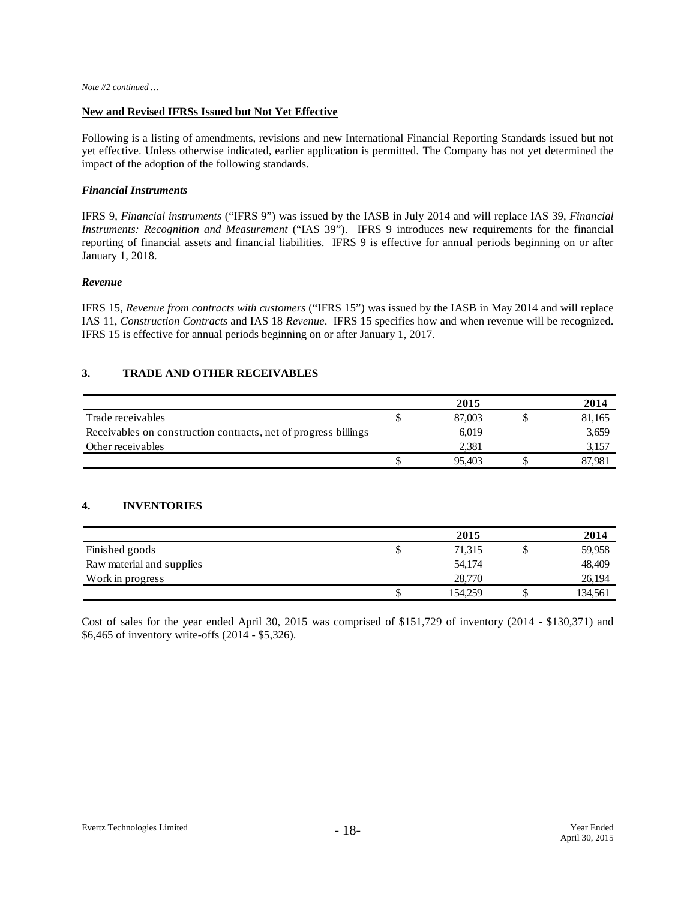#### **New and Revised IFRSs Issued but Not Yet Effective**

Following is a listing of amendments, revisions and new International Financial Reporting Standards issued but not yet effective. Unless otherwise indicated, earlier application is permitted. The Company has not yet determined the impact of the adoption of the following standards.

#### *Financial Instruments*

IFRS 9, *Financial instruments* ("IFRS 9") was issued by the IASB in July 2014 and will replace IAS 39, *Financial Instruments: Recognition and Measurement* ("IAS 39"). IFRS 9 introduces new requirements for the financial reporting of financial assets and financial liabilities. IFRS 9 is effective for annual periods beginning on or after January 1, 2018.

#### *Revenue*

IFRS 15, *Revenue from contracts with customers* ("IFRS 15") was issued by the IASB in May 2014 and will replace IAS 11, *Construction Contracts* and IAS 18 *Revenue*. IFRS 15 specifies how and when revenue will be recognized. IFRS 15 is effective for annual periods beginning on or after January 1, 2017.

## **3. TRADE AND OTHER RECEIVABLES**

|                                                                 |   | 2015   | 2014   |
|-----------------------------------------------------------------|---|--------|--------|
| Trade receivables                                               | S | 87,003 | 81,165 |
| Receivables on construction contracts, net of progress billings |   | 6.019  | 3.659  |
| Other receivables                                               |   | 2.381  | 3.157  |
|                                                                 |   | 95.403 | 87.981 |

# **4. INVENTORIES**

|                           |   | 2015    | 2014    |
|---------------------------|---|---------|---------|
| Finished goods            | S | 71,315  | 59,958  |
| Raw material and supplies |   | 54,174  | 48,409  |
| Work in progress          |   | 28,770  | 26,194  |
|                           |   | 154.259 | 134,561 |

Cost of sales for the year ended April 30, 2015 was comprised of \$151,729 of inventory (2014 - \$130,371) and \$6,465 of inventory write-offs (2014 - \$5,326).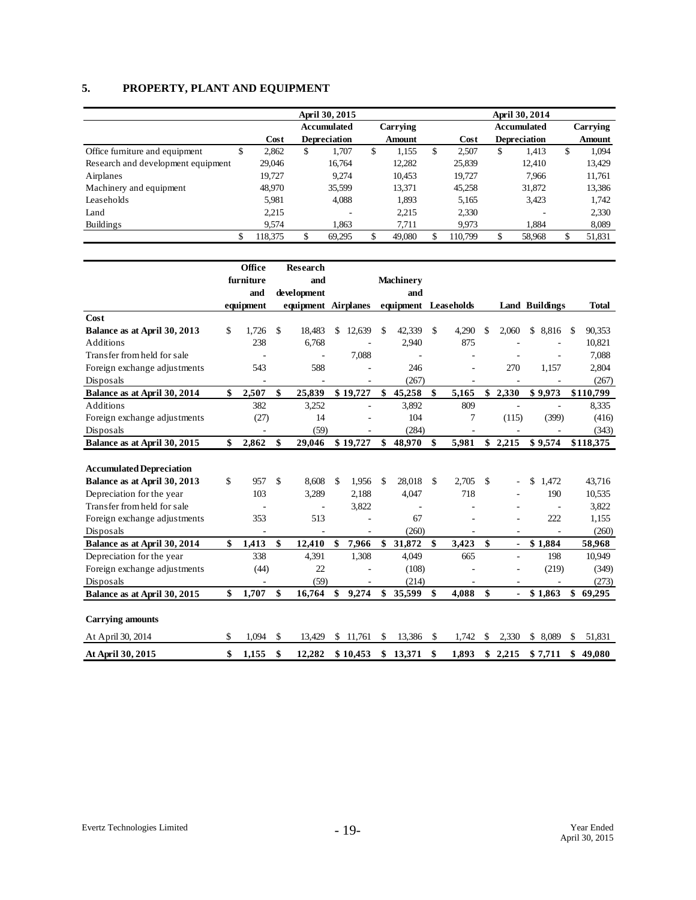# **5. PROPERTY, PLANT AND EQUIPMENT**

|                                    |               |    | April 30, 2015      |    |               |     |         |    |                     |        |          |  |       |
|------------------------------------|---------------|----|---------------------|----|---------------|-----|---------|----|---------------------|--------|----------|--|-------|
|                                    |               |    | <b>Accumulated</b>  |    | Carrying      |     |         |    | <b>Accumulated</b>  |        | Carrying |  |       |
|                                    | Cost          |    | <b>Depreciation</b> |    | <b>Amount</b> |     | Cost    |    | <b>Depreciation</b> | Amount |          |  |       |
| Office furniture and equipment     | \$<br>2,862   | \$ | 1,707               | \$ | 1,155         | \$. | 2.507   | \$ | 1,413               | \$     | 1,094    |  |       |
| Research and development equipment | 29,046        |    | 16,764              |    | 12,282        |     | 25,839  |    | 12.410              |        | 13,429   |  |       |
| Airplanes                          | 19.727        |    | 9.274               |    | 10.453        |     | 19.727  |    | 7.966               |        | 11,761   |  |       |
| Machinery and equipment            | 48,970        |    | 35,599              |    | 13,371        |     | 45,258  |    | 31,872              |        | 13,386   |  |       |
| Leaseholds                         | 5,981         |    | 4,088               |    | 1,893         |     | 5.165   |    | 3.423               |        | 1,742    |  |       |
| Land                               | 2.215         |    | -                   |    | 2.215         |     | 2,330   |    |                     |        | 2,330    |  |       |
| <b>Buildings</b>                   | 9,574         |    | 1.863               |    |               |     | 7,711   |    | 9,973               |        | 1,884    |  | 8,089 |
|                                    | \$<br>118,375 |    | 69,295              |    | 49,080        |     | 110,799 | ¢  | 58,968              | \$     | 51,831   |  |       |

|                                 | Office                   | <b>Research</b>          |               |                          |               |                  |    |                          |               |                          |                       |               |              |
|---------------------------------|--------------------------|--------------------------|---------------|--------------------------|---------------|------------------|----|--------------------------|---------------|--------------------------|-----------------------|---------------|--------------|
|                                 | furniture                | and                      |               |                          |               | <b>Machinery</b> |    |                          |               |                          |                       |               |              |
|                                 | and                      | development              |               |                          | and           |                  |    |                          |               |                          |                       |               |              |
|                                 | equipment                | equipment Airplanes      |               |                          |               |                  |    | equipment Leaseholds     |               |                          | <b>Land Buildings</b> |               | <b>Total</b> |
| Cost                            |                          |                          |               |                          |               |                  |    |                          |               |                          |                       |               |              |
| Balance as at April 30, 2013    | \$<br>1,726              | \$<br>18,483             | \$            | 12,639                   | \$            | 42,339           | \$ | 4,290                    | \$            | 2,060                    | 8,816<br>\$           | <sup>\$</sup> | 90,353       |
| <b>Additions</b>                | 238                      | 6,768                    |               |                          |               | 2,940            |    | 875                      |               |                          |                       |               | 10,821       |
| Transfer from held for sale     |                          |                          |               | 7,088                    |               |                  |    |                          |               |                          |                       |               | 7,088        |
| Foreign exchange adjustments    | 543                      | 588                      |               |                          |               | 246              |    |                          |               | 270                      | 1,157                 |               | 2,804        |
| Disposals                       | ٠                        | ÷,                       |               |                          |               | (267)            |    |                          |               |                          |                       |               | (267)        |
| Balance as at April 30, 2014    | \$<br>2,507              | \$<br>25,839             |               | \$19,727                 | \$            | 45,258           | \$ | 5,165                    | \$            | 2,330                    | \$9,973               |               | \$110,799    |
| <b>Additions</b>                | 382                      | 3,252                    |               |                          |               | 3,892            |    | 809                      |               | $\overline{\phantom{a}}$ | ÷,                    |               | 8,335        |
| Foreign exchange adjustments    | (27)                     | 14                       |               |                          |               | 104              |    | 7                        |               | (115)                    | (399)                 |               | (416)        |
| Disposals                       | ÷,                       | (59)                     |               |                          |               | (284)            |    |                          |               |                          |                       |               | (343)        |
| Balance as at April 30, 2015    | \$<br>2,862              | \$<br>29,046             |               | \$19,727                 | \$            | 48,970           | \$ | 5,981                    | \$            | 2,215                    | \$9,574               |               | \$118,375    |
|                                 |                          |                          |               |                          |               |                  |    |                          |               |                          |                       |               |              |
| <b>Accumulated Depreciation</b> |                          |                          |               |                          |               |                  |    |                          |               |                          |                       |               |              |
| Balance as at April 30, 2013    | \$<br>957                | \$<br>8,608              | <sup>\$</sup> | 1,956                    | <sup>\$</sup> | 28,018           | \$ | 2.705                    | $\mathcal{S}$ |                          | 1,472                 |               | 43,716       |
| Depreciation for the year       | 103                      | 3,289                    |               | 2,188                    |               | 4,047            |    | 718                      |               |                          | 190                   |               | 10,535       |
| Transfer from held for sale     |                          | $\sim$                   |               | 3,822                    |               |                  |    |                          |               |                          | ÷,                    |               | 3,822        |
| Foreign exchange adjustments    | 353                      | 513                      |               |                          |               | 67               |    |                          |               |                          | 222                   |               | 1,155        |
| Disposals                       | $\overline{\phantom{a}}$ | $\overline{\phantom{a}}$ |               | $\overline{\phantom{a}}$ |               | (260)            |    | $\overline{\phantom{a}}$ |               | $\overline{a}$           |                       |               | (260)        |
| Balance as at April 30, 2014    | \$<br>1,413              | \$<br>12,410             | \$            | 7,966                    | \$            | 31,872           | \$ | 3,423                    | \$            | $\blacksquare$           | \$1,884               |               | 58,968       |
| Depreciation for the year       | 338                      | 4,391                    |               | 1,308                    |               | 4,049            |    | 665                      |               |                          | 198                   |               | 10,949       |
| Foreign exchange adjustments    | (44)                     | 22                       |               |                          |               | (108)            |    |                          |               |                          | (219)                 |               | (349)        |
| Disposals                       |                          | (59)                     |               |                          |               | (214)            |    |                          |               |                          |                       |               | (273)        |
| Balance as at April 30, 2015    | \$<br>1,707              | \$<br>16,764             | \$            | 9,274                    | \$            | 35,599           | \$ | 4,088                    | \$            |                          | \$1,863               | \$            | 69,295       |
|                                 |                          |                          |               |                          |               |                  |    |                          |               |                          |                       |               |              |
| <b>Carrying amounts</b>         |                          |                          |               |                          |               |                  |    |                          |               |                          |                       |               |              |
| At April 30, 2014               | \$<br>1,094              | \$<br>13,429             | \$            | 11,761                   | \$            | 13,386           | \$ | 1,742                    | \$            | 2,330                    | \$8,089               | \$            | 51,831       |
| At April 30, 2015               | \$<br>1,155              | \$<br>12,282             |               | \$10,453                 | \$            | 13,371           | \$ | 1,893                    |               | \$2,215                  | \$7,711               |               | \$49,080     |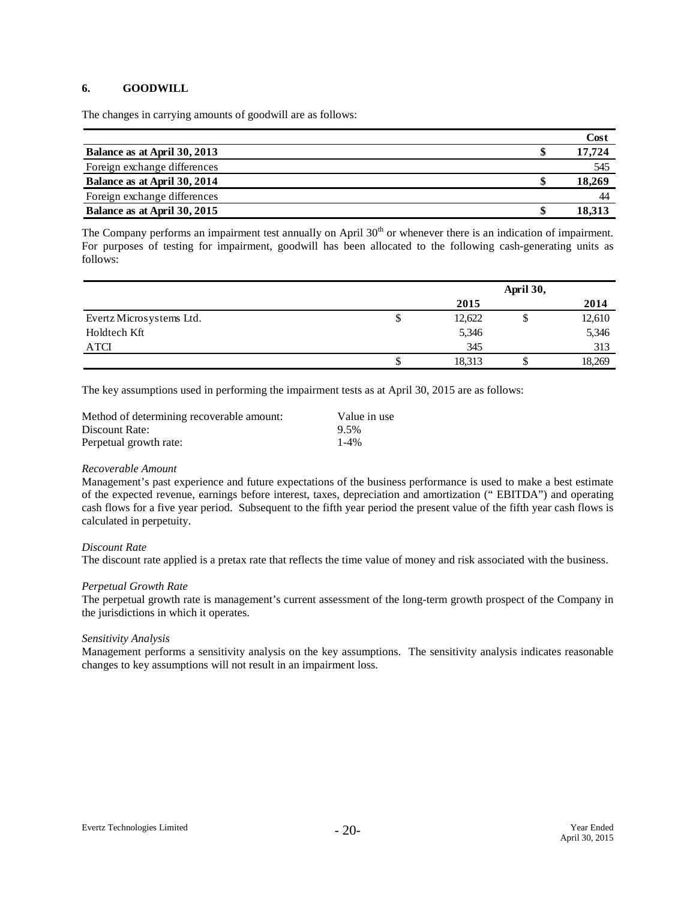# **6. GOODWILL**

The changes in carrying amounts of goodwill are as follows:

|                              | Cost   |
|------------------------------|--------|
| Balance as at April 30, 2013 | 17,724 |
| Foreign exchange differences | 545    |
| Balance as at April 30, 2014 | 18,269 |
| Foreign exchange differences | 44     |
| Balance as at April 30, 2015 | 18,313 |

The Company performs an impairment test annually on April  $30<sup>th</sup>$  or whenever there is an indication of impairment. For purposes of testing for impairment, goodwill has been allocated to the following cash-generating units as follows:

|                          | April 30, |        |  |        |
|--------------------------|-----------|--------|--|--------|
|                          |           | 2015   |  | 2014   |
| Evertz Microsystems Ltd. | P         | 12,622 |  | 12,610 |
| Holdtech Kft             |           | 5,346  |  | 5,346  |
| ATCI                     |           | 345    |  | 313    |
|                          | J,        | 18,313 |  | 18,269 |

The key assumptions used in performing the impairment tests as at April 30, 2015 are as follows:

| Method of determining recoverable amount: | Value in use |
|-------------------------------------------|--------------|
| Discount Rate:                            | 9.5%         |
| Perpetual growth rate:                    | $1 - 4\%$    |

#### *Recoverable Amount*

Management's past experience and future expectations of the business performance is used to make a best estimate of the expected revenue, earnings before interest, taxes, depreciation and amortization (" EBITDA") and operating cash flows for a five year period. Subsequent to the fifth year period the present value of the fifth year cash flows is calculated in perpetuity.

#### *Discount Rate*

The discount rate applied is a pretax rate that reflects the time value of money and risk associated with the business.

#### *Perpetual Growth Rate*

The perpetual growth rate is management's current assessment of the long-term growth prospect of the Company in the jurisdictions in which it operates.

#### *Sensitivity Analysis*

Management performs a sensitivity analysis on the key assumptions. The sensitivity analysis indicates reasonable changes to key assumptions will not result in an impairment loss.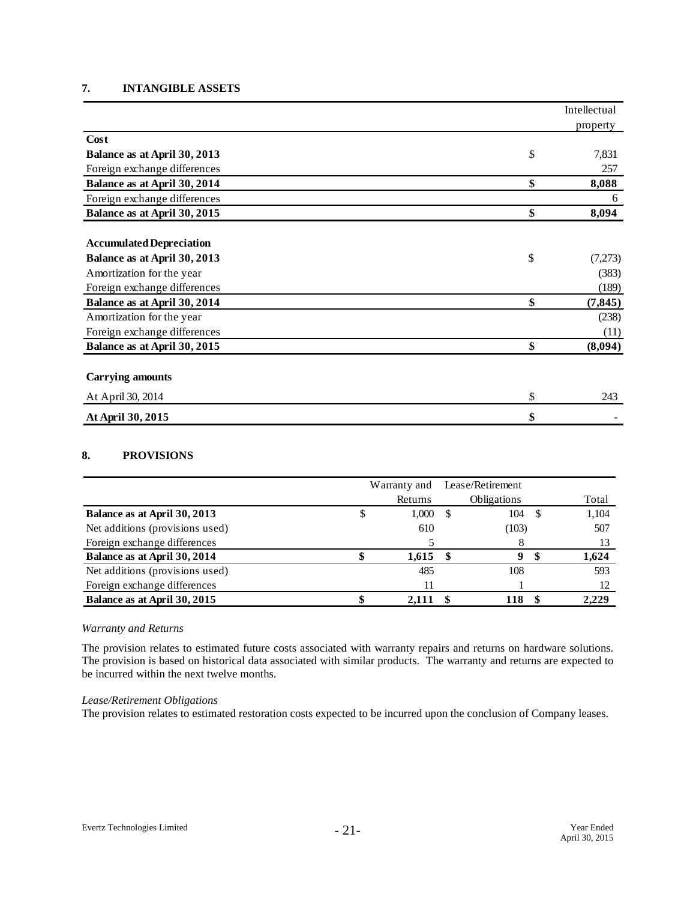# **7. INTANGIBLE ASSETS**

|                                 | Intellectual   |
|---------------------------------|----------------|
|                                 | property       |
| Cost                            |                |
| Balance as at April 30, 2013    | \$<br>7,831    |
| Foreign exchange differences    | 257            |
| Balance as at April 30, 2014    | \$<br>8,088    |
| Foreign exchange differences    | 6              |
| Balance as at April 30, 2015    | \$<br>8,094    |
|                                 |                |
| <b>Accumulated Depreciation</b> |                |
| Balance as at April 30, 2013    | \$<br>(7,273)  |
| Amortization for the year       | (383)          |
| Foreign exchange differences    | (189)          |
| Balance as at April 30, 2014    | \$<br>(7, 845) |
| Amortization for the year       | (238)          |
| Foreign exchange differences    | (11)           |
| Balance as at April 30, 2015    | \$<br>(8,094)  |
| <b>Carrying amounts</b>         |                |
| At April 30, 2014               | \$<br>243      |
| At April 30, 2015               | \$             |

# **8. PROVISIONS**

|                                 | Warranty and |         | Lease/Retirement |    |       |
|---------------------------------|--------------|---------|------------------|----|-------|
|                                 |              | Returns | Obligations      |    | Total |
| Balance as at April 30, 2013    |              | 1,000   | 104              | -8 | 1,104 |
| Net additions (provisions used) |              | 610     | (103)            |    | 507   |
| Foreign exchange differences    |              |         |                  |    |       |
| Balance as at April 30, 2014    |              | 1,615   |                  |    | 1,624 |
| Net additions (provisions used) |              | 485     | 108              |    | 593   |
| Foreign exchange differences    |              | 11      |                  |    | 12    |
| Balance as at April 30, 2015    |              | 2.111   | 118              |    | 2.229 |

#### *Warranty and Returns*

The provision relates to estimated future costs associated with warranty repairs and returns on hardware solutions. The provision is based on historical data associated with similar products. The warranty and returns are expected to be incurred within the next twelve months.

# *Lease/Retirement Obligations*

The provision relates to estimated restoration costs expected to be incurred upon the conclusion of Company leases.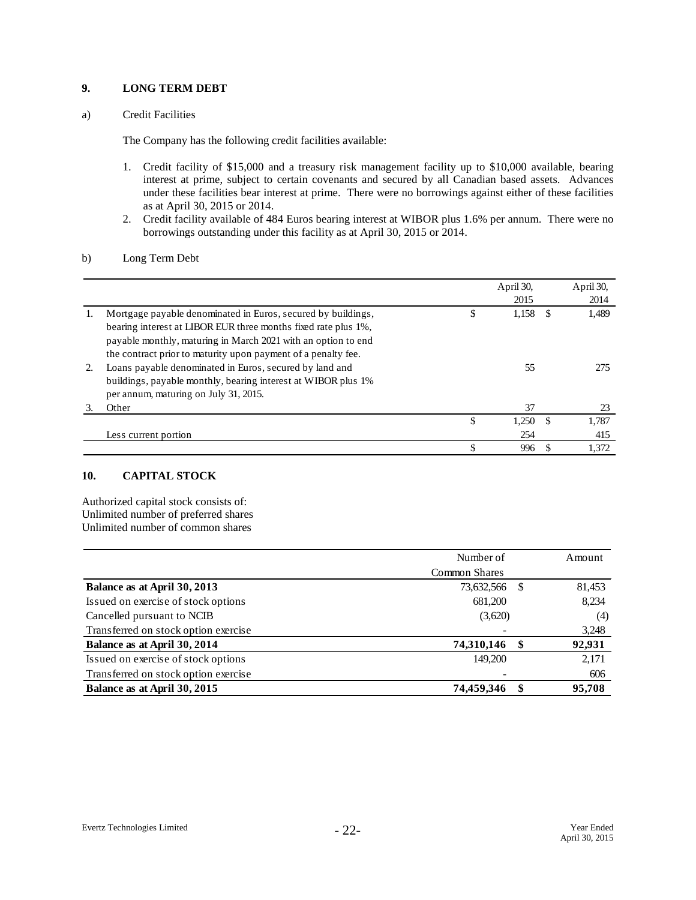# **9. LONG TERM DEBT**

#### a) Credit Facilities

The Company has the following credit facilities available:

- 1. Credit facility of \$15,000 and a treasury risk management facility up to \$10,000 available, bearing interest at prime, subject to certain covenants and secured by all Canadian based assets. Advances under these facilities bear interest at prime. There were no borrowings against either of these facilities as at April 30, 2015 or 2014.
- 2. Credit facility available of 484 Euros bearing interest at WIBOR plus 1.6% per annum. There were no borrowings outstanding under this facility as at April 30, 2015 or 2014.

## b) Long Term Debt

|    |                                                                |    | April 30, |     | April 30, |
|----|----------------------------------------------------------------|----|-----------|-----|-----------|
|    |                                                                |    | 2015      |     | 2014      |
| 1. | Mortgage payable denominated in Euros, secured by buildings,   | S  | 1,158     | \$. | 1,489     |
|    | bearing interest at LIBOR EUR three months fixed rate plus 1%, |    |           |     |           |
|    | payable monthly, maturing in March 2021 with an option to end  |    |           |     |           |
|    | the contract prior to maturity upon payment of a penalty fee.  |    |           |     |           |
| 2. | Loans payable denominated in Euros, secured by land and        |    | 55        |     | 275       |
|    | buildings, payable monthly, bearing interest at WIBOR plus 1%  |    |           |     |           |
|    | per annum, maturing on July 31, 2015.                          |    |           |     |           |
| 3. | Other                                                          |    | 37        |     | 23        |
|    |                                                                | \$ | 1.250     |     | 1,787     |
|    | Less current portion                                           |    | 254       |     | 415       |
|    |                                                                | S  | 996       |     | 1.372     |

# **10. CAPITAL STOCK**

Authorized capital stock consists of: Unlimited number of preferred shares Unlimited number of common shares

|                                      | Number of     |      | Amount |
|--------------------------------------|---------------|------|--------|
|                                      | Common Shares |      |        |
| Balance as at April 30, 2013         | 73,632,566    | - \$ | 81,453 |
| Issued on exercise of stock options  | 681,200       |      | 8,234  |
| Cancelled pursuant to NCIB           | (3,620)       |      | (4)    |
| Transferred on stock option exercise |               |      | 3,248  |
| Balance as at April 30, 2014         | 74,310,146    |      | 92,931 |
| Issued on exercise of stock options  | 149,200       |      | 2,171  |
| Transferred on stock option exercise |               |      | 606    |
| Balance as at April 30, 2015         | 74,459,346    |      | 95,708 |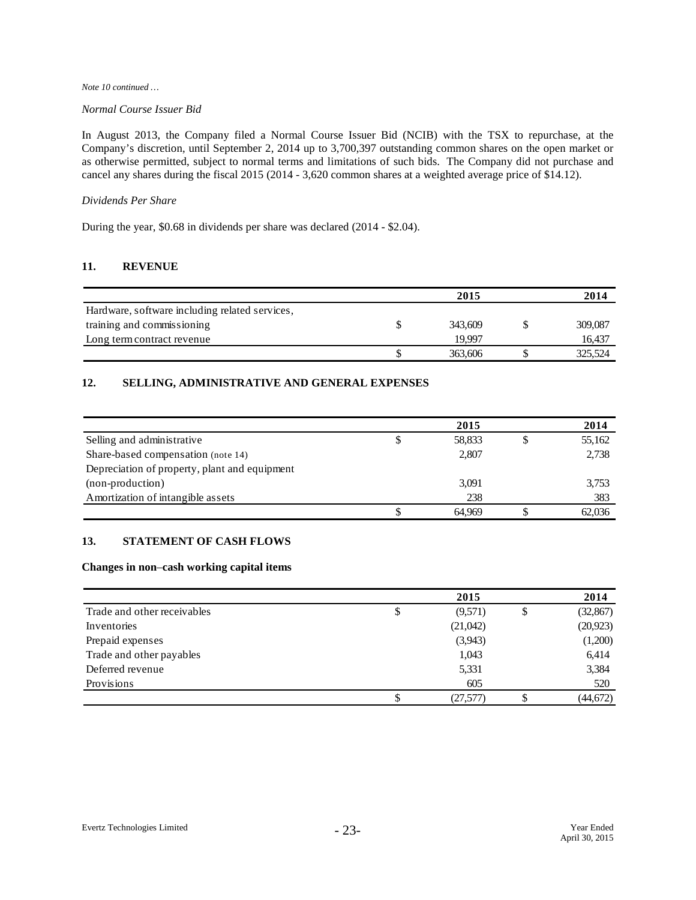*Note 10 continued …*

#### *Normal Course Issuer Bid*

In August 2013, the Company filed a Normal Course Issuer Bid (NCIB) with the TSX to repurchase, at the Company's discretion, until September 2, 2014 up to 3,700,397 outstanding common shares on the open market or as otherwise permitted, subject to normal terms and limitations of such bids. The Company did not purchase and cancel any shares during the fiscal 2015 (2014 - 3,620 common shares at a weighted average price of \$14.12).

#### *Dividends Per Share*

During the year, \$0.68 in dividends per share was declared (2014 - \$2.04).

## **11. REVENUE**

|                                                | 2015    | 2014    |
|------------------------------------------------|---------|---------|
| Hardware, software including related services, |         |         |
| training and commissioning                     | 343.609 | 309,087 |
| Long term contract revenue                     | 19.997  | 16,437  |
|                                                | 363,606 | 325,524 |

# **12. SELLING, ADMINISTRATIVE AND GENERAL EXPENSES**

|                                               | 2015         | 2014   |
|-----------------------------------------------|--------------|--------|
| Selling and administrative                    | \$<br>58,833 | 55,162 |
| Share-based compensation (note 14)            | 2,807        | 2,738  |
| Depreciation of property, plant and equipment |              |        |
| (non-production)                              | 3,091        | 3,753  |
| Amortization of intangible assets             | 238          | 383    |
|                                               | 64.969       | 62,036 |

## **13. STATEMENT OF CASH FLOWS**

#### **Changes in non**–**cash working capital items**

|                             | 2015          | 2014            |
|-----------------------------|---------------|-----------------|
| Trade and other receivables | \$<br>(9,571) | \$<br>(32, 867) |
| Inventories                 | (21,042)      | (20, 923)       |
| Prepaid expenses            | (3,943)       | (1,200)         |
| Trade and other payables    | 1,043         | 6,414           |
| Deferred revenue            | 5,331         | 3,384           |
| Provisions                  | 605           | 520             |
|                             | (27,577)      | (44, 672)       |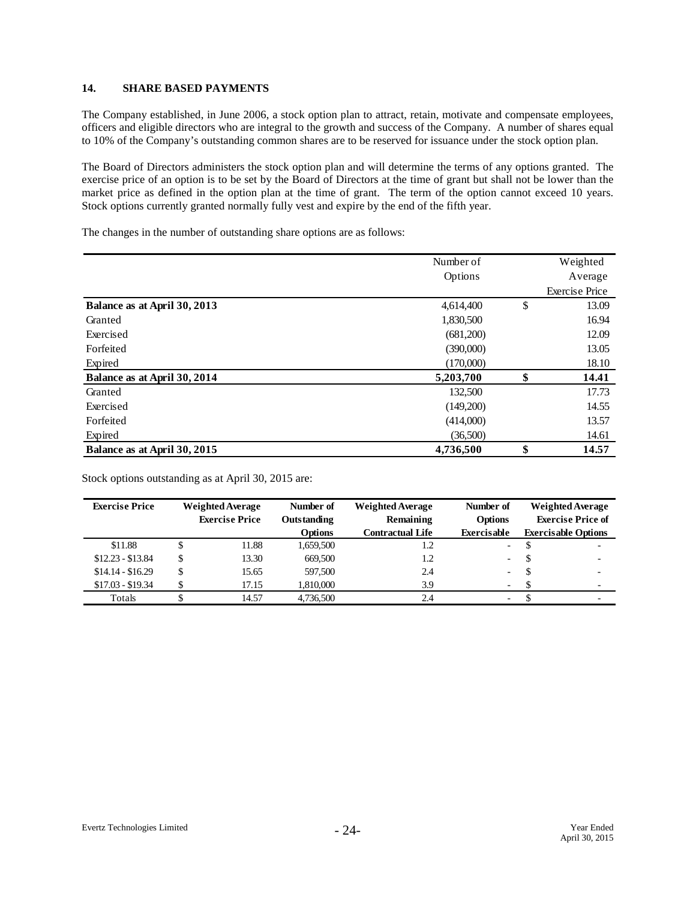# **14. SHARE BASED PAYMENTS**

The Company established, in June 2006, a stock option plan to attract, retain, motivate and compensate employees, officers and eligible directors who are integral to the growth and success of the Company. A number of shares equal to 10% of the Company's outstanding common shares are to be reserved for issuance under the stock option plan.

The Board of Directors administers the stock option plan and will determine the terms of any options granted. The exercise price of an option is to be set by the Board of Directors at the time of grant but shall not be lower than the market price as defined in the option plan at the time of grant. The term of the option cannot exceed 10 years. Stock options currently granted normally fully vest and expire by the end of the fifth year.

The changes in the number of outstanding share options are as follows:

|                              | Number of | Weighted              |
|------------------------------|-----------|-----------------------|
|                              | Options   | Average               |
|                              |           | <b>Exercise Price</b> |
| Balance as at April 30, 2013 | 4,614,400 | \$<br>13.09           |
| Granted                      | 1,830,500 | 16.94                 |
| Exercised                    | (681,200) | 12.09                 |
| Forfeited                    | (390,000) | 13.05                 |
| Expired                      | (170,000) | 18.10                 |
| Balance as at April 30, 2014 | 5,203,700 | \$<br>14.41           |
| Granted                      | 132,500   | 17.73                 |
| Exercised                    | (149,200) | 14.55                 |
| Forfeited                    | (414,000) | 13.57                 |
| Expired                      | (36,500)  | 14.61                 |
| Balance as at April 30, 2015 | 4,736,500 | \$<br>14.57           |

Stock options outstanding as at April 30, 2015 are:

| <b>Exercise Price</b> | <b>Weighted Average</b> | Number of                     | <b>Weighted Average</b>              | Number of                            | <b>Weighted Average</b>                                |
|-----------------------|-------------------------|-------------------------------|--------------------------------------|--------------------------------------|--------------------------------------------------------|
|                       | <b>Exercise Price</b>   | Outstanding<br><b>Options</b> | Remaining<br><b>Contractual Life</b> | <b>Options</b><br><b>Exercisable</b> | <b>Exercise Price of</b><br><b>Exercisable Options</b> |
| \$11.88               | 11.88                   | 1,659,500                     | 1.2                                  | $\sim$                               |                                                        |
| $$12.23 - $13.84$     | 13.30                   | 669,500                       | 1.2                                  | $\overline{\phantom{0}}$             | -                                                      |
| $$14.14 - $16.29$     | 15.65                   | 597,500                       | 2.4                                  | $\overline{\phantom{0}}$             |                                                        |
| $$17.03 - $19.34$     | 17.15                   | 1,810,000                     | 3.9                                  | $\overline{\phantom{0}}$             | $\overline{\phantom{0}}$                               |
| Totals                | 14.57                   | 4,736,500                     | 2.4                                  | $\overline{\phantom{0}}$             |                                                        |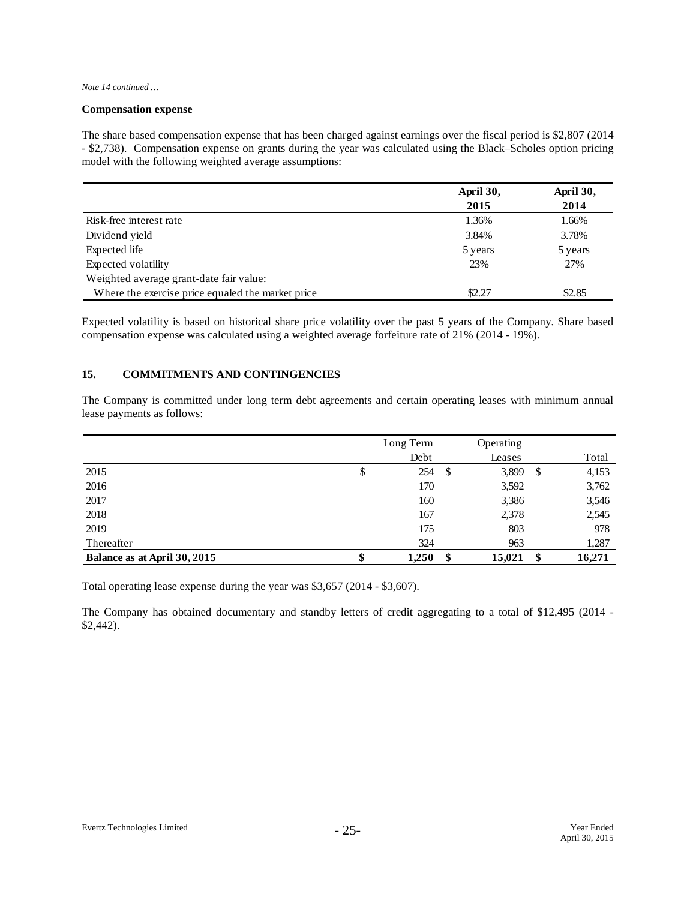#### *Note 14 continued …*

#### **Compensation expense**

The share based compensation expense that has been charged against earnings over the fiscal period is \$2,807 (2014 - \$2,738). Compensation expense on grants during the year was calculated using the Black–Scholes option pricing model with the following weighted average assumptions:

|                                                   | April 30, | April 30, |
|---------------------------------------------------|-----------|-----------|
|                                                   | 2015      | 2014      |
| Risk-free interest rate                           | 1.36%     | 1.66%     |
| Dividend yield                                    | 3.84%     | 3.78%     |
| Expected life                                     | 5 years   | 5 years   |
| Expected volatility                               | 23%       | 27%       |
| Weighted average grant-date fair value:           |           |           |
| Where the exercise price equaled the market price | \$2.27    | \$2.85    |

Expected volatility is based on historical share price volatility over the past 5 years of the Company. Share based compensation expense was calculated using a weighted average forfeiture rate of 21% (2014 - 19%).

# **15. COMMITMENTS AND CONTINGENCIES**

The Company is committed under long term debt agreements and certain operating leases with minimum annual lease payments as follows:

|                              |    | Long Term | Operating    |     |        |
|------------------------------|----|-----------|--------------|-----|--------|
|                              |    | Debt      | Leases       |     | Total  |
| 2015                         | \$ | 254       | \$<br>3,899  | -\$ | 4,153  |
| 2016                         |    | 170       | 3,592        |     | 3,762  |
| 2017                         |    | 160       | 3,386        |     | 3,546  |
| 2018                         |    | 167       | 2,378        |     | 2,545  |
| 2019                         |    | 175       | 803          |     | 978    |
| Thereafter                   |    | 324       | 963          |     | 1,287  |
| Balance as at April 30, 2015 | Φ  | 1,250     | \$<br>15,021 | -\$ | 16,271 |

Total operating lease expense during the year was \$3,657 (2014 - \$3,607).

The Company has obtained documentary and standby letters of credit aggregating to a total of \$12,495 (2014 - \$2,442).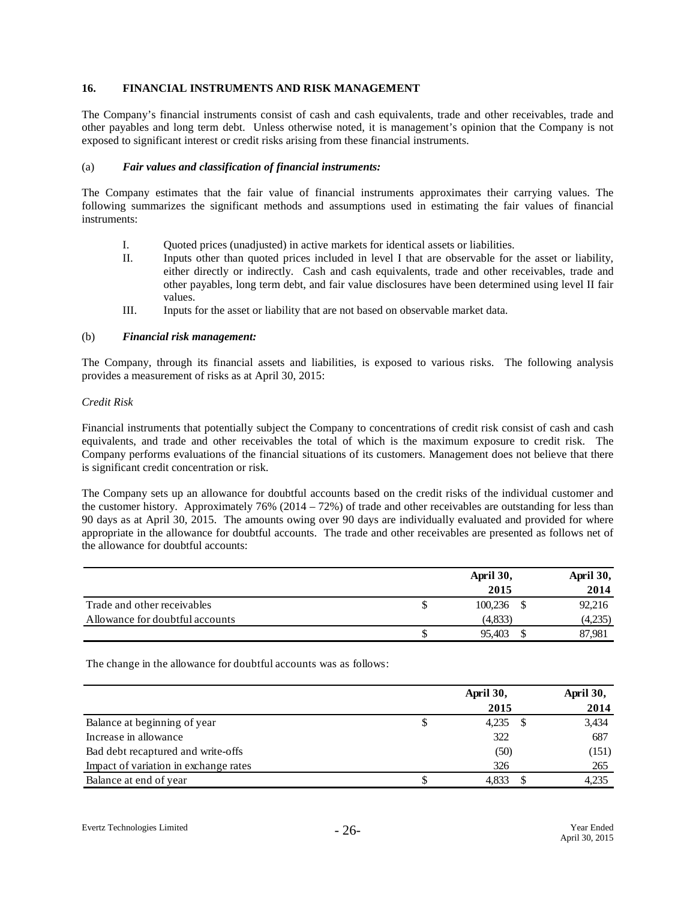#### **16. FINANCIAL INSTRUMENTS AND RISK MANAGEMENT**

The Company's financial instruments consist of cash and cash equivalents, trade and other receivables, trade and other payables and long term debt. Unless otherwise noted, it is management's opinion that the Company is not exposed to significant interest or credit risks arising from these financial instruments.

#### (a) *Fair values and classification of financial instruments:*

The Company estimates that the fair value of financial instruments approximates their carrying values. The following summarizes the significant methods and assumptions used in estimating the fair values of financial instruments:

- I. Quoted prices (unadjusted) in active markets for identical assets or liabilities.
- II. Inputs other than quoted prices included in level I that are observable for the asset or liability, either directly or indirectly. Cash and cash equivalents, trade and other receivables, trade and other payables, long term debt, and fair value disclosures have been determined using level II fair values.
- III. Inputs for the asset or liability that are not based on observable market data.

#### (b) *Financial risk management:*

The Company, through its financial assets and liabilities, is exposed to various risks. The following analysis provides a measurement of risks as at April 30, 2015:

#### *Credit Risk*

Financial instruments that potentially subject the Company to concentrations of credit risk consist of cash and cash equivalents, and trade and other receivables the total of which is the maximum exposure to credit risk. The Company performs evaluations of the financial situations of its customers. Management does not believe that there is significant credit concentration or risk.

The Company sets up an allowance for doubtful accounts based on the credit risks of the individual customer and the customer history. Approximately  $76\%$  (2014 –  $72\%$ ) of trade and other receivables are outstanding for less than 90 days as at April 30, 2015. The amounts owing over 90 days are individually evaluated and provided for where appropriate in the allowance for doubtful accounts. The trade and other receivables are presented as follows net of the allowance for doubtful accounts:

|                                 |              | April 30, |         |
|---------------------------------|--------------|-----------|---------|
|                                 |              | 2015      | 2014    |
| Trade and other receivables     | 100.236<br>J |           | 92,216  |
| Allowance for doubtful accounts | (4,833)      |           | (4,235) |
|                                 | 95.403<br>Э  |           | 87,981  |

The change in the allowance for doubtful accounts was as follows:

|                                       |   | April 30, | April 30, |       |
|---------------------------------------|---|-----------|-----------|-------|
|                                       |   | 2015      |           | 2014  |
| Balance at beginning of year          | S | 4.235     |           | 3,434 |
| Increase in allowance                 |   | 322       |           | 687   |
| Bad debt recaptured and write-offs    |   | (50)      |           | (151) |
| Impact of variation in exchange rates |   | 326       |           | 265   |
| Balance at end of year                |   | 4.833     |           | 4,235 |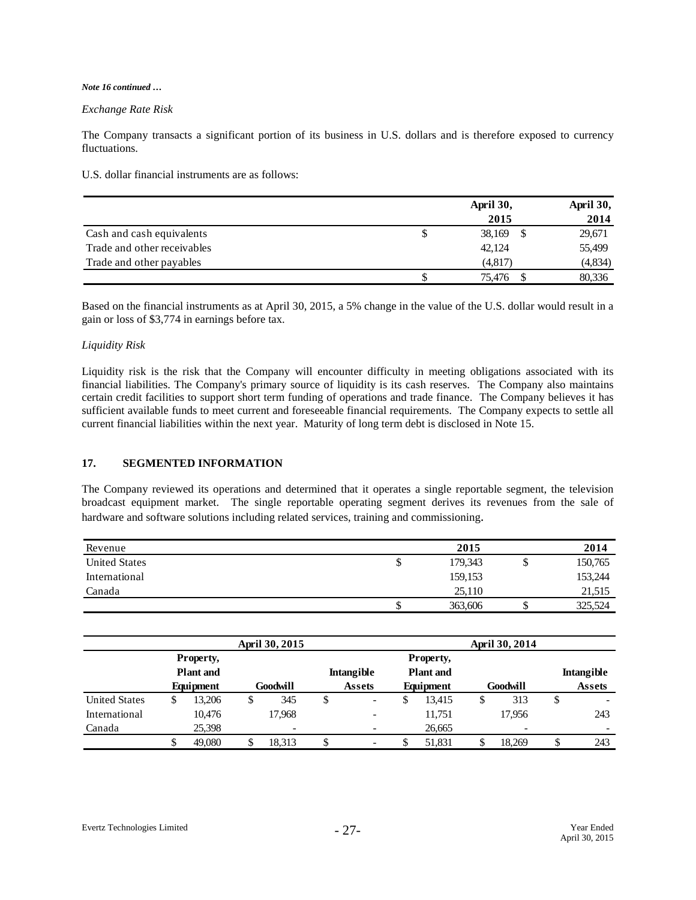*Note 16 continued …*

*Exchange Rate Risk*

The Company transacts a significant portion of its business in U.S. dollars and is therefore exposed to currency fluctuations.

U.S. dollar financial instruments are as follows:

|                             | April 30, |         |  |
|-----------------------------|-----------|---------|--|
|                             | 2015      | 2014    |  |
| Cash and cash equivalents   | 38,169    | 29,671  |  |
| Trade and other receivables | 42,124    | 55,499  |  |
| Trade and other payables    | (4,817)   | (4,834) |  |
|                             | 75.476    | 80,336  |  |

Based on the financial instruments as at April 30, 2015, a 5% change in the value of the U.S. dollar would result in a gain or loss of \$3,774 in earnings before tax.

#### *Liquidity Risk*

Liquidity risk is the risk that the Company will encounter difficulty in meeting obligations associated with its financial liabilities. The Company's primary source of liquidity is its cash reserves. The Company also maintains certain credit facilities to support short term funding of operations and trade finance. The Company believes it has sufficient available funds to meet current and foreseeable financial requirements. The Company expects to settle all current financial liabilities within the next year. Maturity of long term debt is disclosed in Note 15.

# **17. SEGMENTED INFORMATION**

The Company reviewed its operations and determined that it operates a single reportable segment, the television broadcast equipment market. The single reportable operating segment derives its revenues from the sale of hardware and software solutions including related services, training and commissioning.

| Revenue              | 2015          |   | 2014    |
|----------------------|---------------|---|---------|
| <b>United States</b> | \$<br>179,343 | Œ | 150,765 |
| International        | 159,153       |   | 153,244 |
| Canada               | 25,110        |   | 21,515  |
|                      | \$<br>363,606 |   | 325,524 |

|                      | April 30, 2015                             |   |          |   | April 30, 2014                     |  |                                            |    |          |    |                                    |
|----------------------|--------------------------------------------|---|----------|---|------------------------------------|--|--------------------------------------------|----|----------|----|------------------------------------|
|                      | Property,<br><b>Plant</b> and<br>Equipment |   | Goodwill |   | <b>Intangible</b><br><b>Assets</b> |  | Property,<br><b>Plant</b> and<br>Equipment |    | Goodwill |    | <b>Intangible</b><br><b>Assets</b> |
| <b>United States</b> | \$<br>13.206                               | S | 345      | J | -                                  |  | 13.415                                     | \$ | 313      | \$ | $\overline{\phantom{a}}$           |
| International        | 10.476                                     |   | 17.968   |   | $\overline{\phantom{a}}$           |  | 11,751                                     |    | 17.956   |    | 243                                |
| Canada               | 25.398                                     |   |          |   |                                    |  | 26.665                                     |    |          |    | $\overline{\phantom{a}}$           |
|                      | 49,080                                     |   | 18.313   | J | -                                  |  | 51.831                                     |    | 18.269   | \$ | 243                                |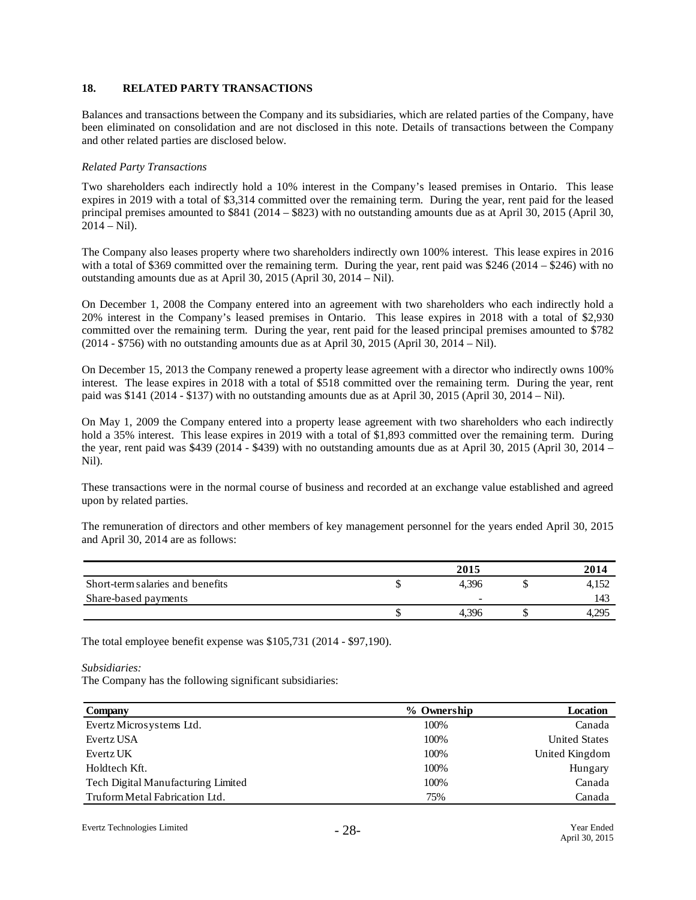#### **18. RELATED PARTY TRANSACTIONS**

Balances and transactions between the Company and its subsidiaries, which are related parties of the Company, have been eliminated on consolidation and are not disclosed in this note. Details of transactions between the Company and other related parties are disclosed below.

#### *Related Party Transactions*

Two shareholders each indirectly hold a 10% interest in the Company's leased premises in Ontario. This lease expires in 2019 with a total of \$3,314 committed over the remaining term. During the year, rent paid for the leased principal premises amounted to \$841 (2014 – \$823) with no outstanding amounts due as at April 30, 2015 (April 30,  $2014 - Nil$ ).

The Company also leases property where two shareholders indirectly own 100% interest. This lease expires in 2016 with a total of \$369 committed over the remaining term. During the year, rent paid was \$246 (2014 – \$246) with no outstanding amounts due as at April 30, 2015 (April 30, 2014 – Nil).

On December 1, 2008 the Company entered into an agreement with two shareholders who each indirectly hold a 20% interest in the Company's leased premises in Ontario. This lease expires in 2018 with a total of \$2,930 committed over the remaining term. During the year, rent paid for the leased principal premises amounted to \$782 (2014 - \$756) with no outstanding amounts due as at April 30, 2015 (April 30, 2014 – Nil).

On December 15, 2013 the Company renewed a property lease agreement with a director who indirectly owns 100% interest. The lease expires in 2018 with a total of \$518 committed over the remaining term. During the year, rent paid was \$141 (2014 - \$137) with no outstanding amounts due as at April 30, 2015 (April 30, 2014 – Nil).

On May 1, 2009 the Company entered into a property lease agreement with two shareholders who each indirectly hold a 35% interest. This lease expires in 2019 with a total of \$1,893 committed over the remaining term. During the year, rent paid was \$439 (2014 - \$439) with no outstanding amounts due as at April 30, 2015 (April 30, 2014 – Nil).

These transactions were in the normal course of business and recorded at an exchange value established and agreed upon by related parties.

The remuneration of directors and other members of key management personnel for the years ended April 30, 2015 and April 30, 2014 are as follows:

|                                  | 2015                     | 2014  |
|----------------------------------|--------------------------|-------|
| Short-term salaries and benefits | 4.396                    | 4,152 |
| Share-based payments             | $\overline{\phantom{a}}$ | 143   |
|                                  | 4.396                    | 4.295 |

The total employee benefit expense was \$105,731 (2014 - \$97,190).

*Subsidiaries:*

The Company has the following significant subsidiaries:

| Company                            | % Ownership | Location             |
|------------------------------------|-------------|----------------------|
| Evertz Microsystems Ltd.           | 100%        | Canada               |
| Evertz USA                         | 100%        | <b>United States</b> |
| Evertz UK                          | 100%        | United Kingdom       |
| Holdtech Kft.                      | 100%        | Hungary              |
| Tech Digital Manufacturing Limited | 100%        | Canada               |
| Truform Metal Fabrication Ltd.     | 75%         | Canada               |

Evertz Technologies Limited  $-28$ -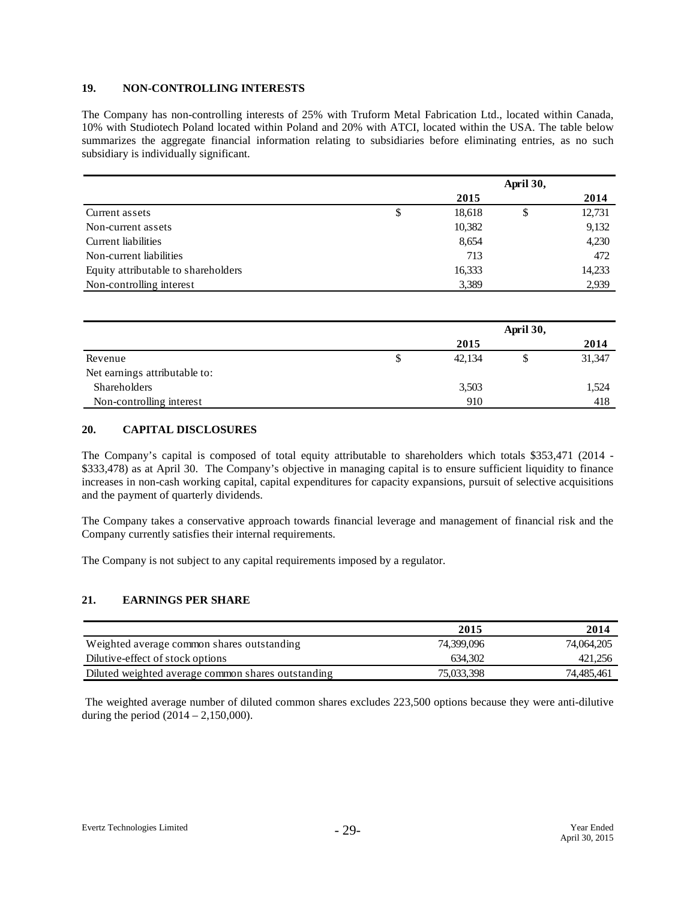# **19. NON-CONTROLLING INTERESTS**

The Company has non-controlling interests of 25% with Truform Metal Fabrication Ltd., located within Canada, 10% with Studiotech Poland located within Poland and 20% with ATCI, located within the USA. The table below summarizes the aggregate financial information relating to subsidiaries before eliminating entries, as no such subsidiary is individually significant.

|                                     | April 30, |        |    |        |
|-------------------------------------|-----------|--------|----|--------|
|                                     |           | 2015   |    | 2014   |
| Current assets                      | \$        | 18,618 | \$ | 12,731 |
| Non-current assets                  |           | 10,382 |    | 9,132  |
| Current liabilities                 |           | 8,654  |    | 4,230  |
| Non-current liabilities             |           | 713    |    | 472    |
| Equity attributable to shareholders |           | 16,333 |    | 14,233 |
| Non-controlling interest            |           | 3,389  |    | 2,939  |

|                               | April 30, |        |  |        |  |
|-------------------------------|-----------|--------|--|--------|--|
|                               |           | 2015   |  | 2014   |  |
| Revenue                       | \$        | 42.134 |  | 31,347 |  |
| Net earnings attributable to: |           |        |  |        |  |
| <b>Shareholders</b>           |           | 3,503  |  | 1,524  |  |
| Non-controlling interest      |           | 910    |  | 418    |  |

## **20. CAPITAL DISCLOSURES**

The Company's capital is composed of total equity attributable to shareholders which totals \$353,471 (2014 - \$333,478) as at April 30. The Company's objective in managing capital is to ensure sufficient liquidity to finance increases in non-cash working capital, capital expenditures for capacity expansions, pursuit of selective acquisitions and the payment of quarterly dividends.

The Company takes a conservative approach towards financial leverage and management of financial risk and the Company currently satisfies their internal requirements.

The Company is not subject to any capital requirements imposed by a regulator.

# **21. EARNINGS PER SHARE**

|                                                    | 2015       | 2014       |
|----------------------------------------------------|------------|------------|
| Weighted average common shares outstanding         | 74.399.096 | 74,064,205 |
| Dilutive-effect of stock options                   | 634.302    | 421,256    |
| Diluted weighted average common shares outstanding | 75,033,398 | 74.485.461 |

The weighted average number of diluted common shares excludes 223,500 options because they were anti-dilutive during the period  $(2014 - 2,150,000)$ .